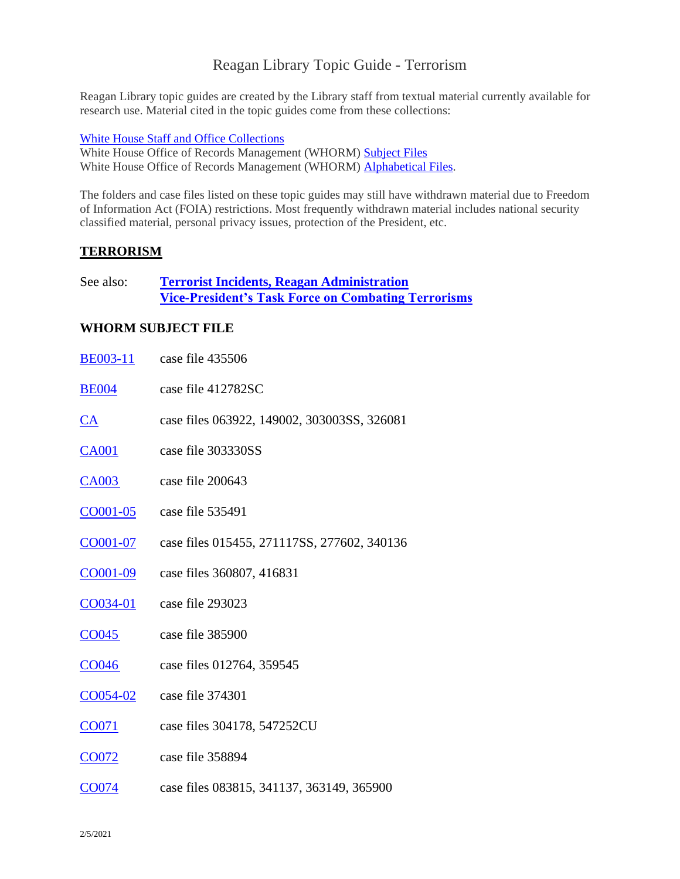# Reagan Library Topic Guide - Terrorism

Reagan Library topic guides are created by the Library staff from textual material currently available for research use. Material cited in the topic guides come from these collections:

[White House Staff and Office Collections](https://reaganlibrary.gov/archives/white-house-inventories)

White House Office of Records Management (WHORM) [Subject Files](https://reaganlibrary.gov/archives/white-house-office-records-management-subject-file-1981-1989) White House Office of Records Management (WHORM) [Alphabetical Files.](https://reaganlibrary.gov/archives/subject/white-house-office-records-management-whorm-alphabetical-file-1981-1989)

The folders and case files listed on these topic guides may still have withdrawn material due to Freedom of Information Act (FOIA) restrictions. Most frequently withdrawn material includes national security classified material, personal privacy issues, protection of the President, etc.

#### **TERRORISM**

See also: **[Terrorist Incidents, Reagan Administration](https://www.reaganlibrary.gov/archives/topic-guide/terrorist-incidents-reagan-administration) [Vice-President's Task Force on Combating Terrorisms](https://www.reaganlibrary.gov/archives/topic-guide/terrorist-incidents-reagan-administration)**

#### **WHORM SUBJECT FILE**

| <b>BE003-11</b>   | case file 435506                            |
|-------------------|---------------------------------------------|
| <b>BE004</b>      | case file 412782SC                          |
| <u>CA</u>         | case files 063922, 149002, 303003SS, 326081 |
| <b>CA001</b>      | case file 303330SS                          |
| CA003             | case file 200643                            |
| CO001-05          | case file 535491                            |
| CO001-07          | case files 015455, 271117SS, 277602, 340136 |
| $CO001 - 09$      | case files 360807, 416831                   |
| CO034-01          | case file 293023                            |
| CO045             | case file 385900                            |
| CO <sub>046</sub> | case files 012764, 359545                   |
| CO054-02          | case file 374301                            |
| CO071             | case files 304178, 547252CU                 |
| <b>CO072</b>      | case file 358894                            |
| CO074             | case files 083815, 341137, 363149, 365900   |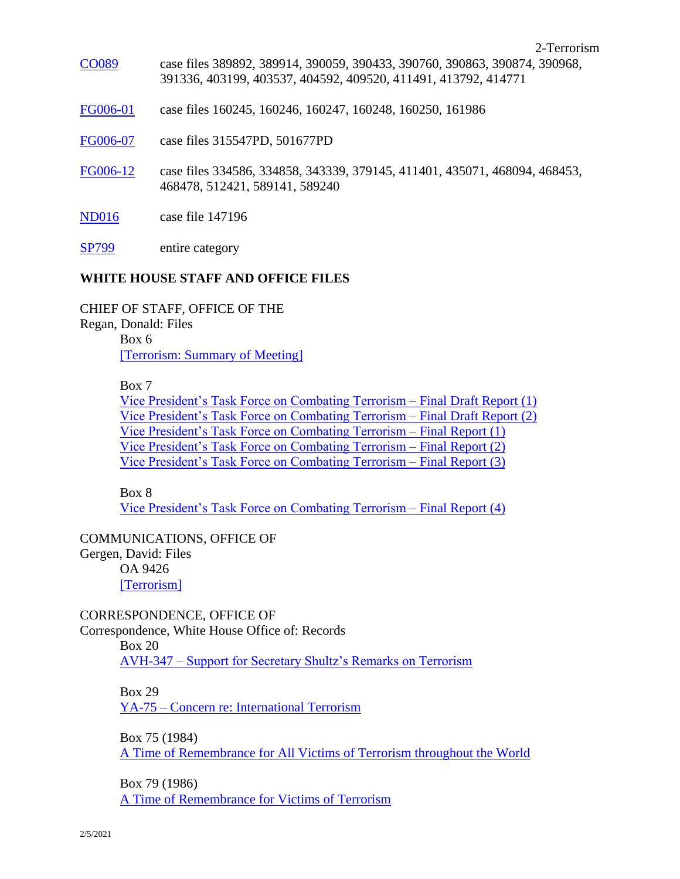- [CO089](https://www.reaganlibrary.gov/document-collection/whormsub/countries#CO089) case files 389892, 389914, 390059, 390433, 390760, 390863, 390874, 390968, 391336, 403199, 403537, 404592, 409520, 411491, 413792, 414771
- [FG006-01](https://www.reaganlibrary.gov/archives/subject/whorm-federal-government-organizations-fg005-fg006#FG006-01) case files 160245, 160246, 160247, 160248, 160250, 161986
- [FG006-07](https://www.reaganlibrary.gov/archives/subject/whorm-federal-government-organizations-fg005-fg006#FG006-07) case files 315547PD, 501677PD
- [FG006-12](https://www.reaganlibrary.gov/archives/subject/whorm-federal-government-organizations-fg005-fg006#FG006-12) case files 334586, 334858, 343339, 379145, 411401, 435071, 468094, 468453, 468478, 512421, 589141, 589240
- [ND016](https://www.reaganlibrary.gov/archives/subject/whorm-national-security-defense#ND016) case file 147196
- [SP799](https://www.reaganlibrary.gov/archives/subject/whorm-speeches-sp729-sp1316#SP799) entire category

#### **WHITE HOUSE STAFF AND OFFICE FILES**

CHIEF OF STAFF, OFFICE OF THE

Regan, Donald: Files

Box 6 [\[Terrorism: Summary of Meeting\]](https://reaganlibrary.gov/public/digitallibrary/smof/cos/regan/box-006/40-468-7257737-006-017-2017.pdf)

Box 7

[Vice President's Task Force on Combating Terrorism –](https://reaganlibrary.gov/public/digitallibrary/smof/cos/regan/box-007/40-468-7257737-007-012-2017.pdf) Final Draft Report (1) [Vice President's Task Force on Combating Terrorism –](https://reaganlibrary.gov/public/digitallibrary/smof/cos/regan/box-007/40-468-7257737-007-013-2017.pdf) Final Draft Report (2) [Vice President's Task Force on Combating Terrorism –](https://reaganlibrary.gov/public/digitallibrary/smof/cos/regan/box-007/40-468-7257737-007-014-2017.pdf) Final Report (1) [Vice President's Task Force on Combating Terrorism –](https://reaganlibrary.gov/public/digitallibrary/smof/cos/regan/box-007/40-468-7257737-007-015-2017.pdf) Final Report (2) [Vice President's Task Force on Combating Terrorism –](https://reaganlibrary.gov/public/digitallibrary/smof/cos/regan/box-007/40-468-7257737-007-016-2017.pdf) Final Report (3)

Box 8

[Vice President's Task Force on Combating Terrorism –](https://www.reaganlibrary.gov/public/digitallibrary/smof/cos/regan/box-008/40-468-7257737-008-001-2017.pdf) Final Report (4)

#### COMMUNICATIONS, OFFICE OF

Gergen, David: Files OA 9426 [\[Terrorism\]](https://www.reaganlibrary.gov/public/digitallibrary/smof/comoffice/gergen/oa9426/40-207-75502946-OA9426-001-2017.pdf)

CORRESPONDENCE, OFFICE OF

Correspondence, White House Office of: Records

Box 20

AVH-347 – [Support for Secretary Shultz's Remarks on Terrorism](https://www.reaganlibrary.gov/public/digitallibrary/smof/correspondence/coroffice/box-020/40-108-7560791-020-031-2019.pdf)

Box 29

YA-75 – [Concern re: International Terrorism](https://www.reaganlibrary.gov/public/digitallibrary/smof/correspondence/coroffice/box-029/40-108-7560791-029-019-2019.pdf)

Box 75 (1984)

[A Time of Remembrance for All Victims of Terrorism throughout the World](https://reaganlibrary.gov/public/digitallibrary/smof/correspondence/coroffice/box-075/atimeforrememberance.pdf)

Box 79 (1986) [A Time of Remembrance for Victims of Terrorism](https://www.reaganlibrary.gov/public/digitallibrary/smof/correspondence/coroffice/box-079/atimeofremembranceterrorism.pdf)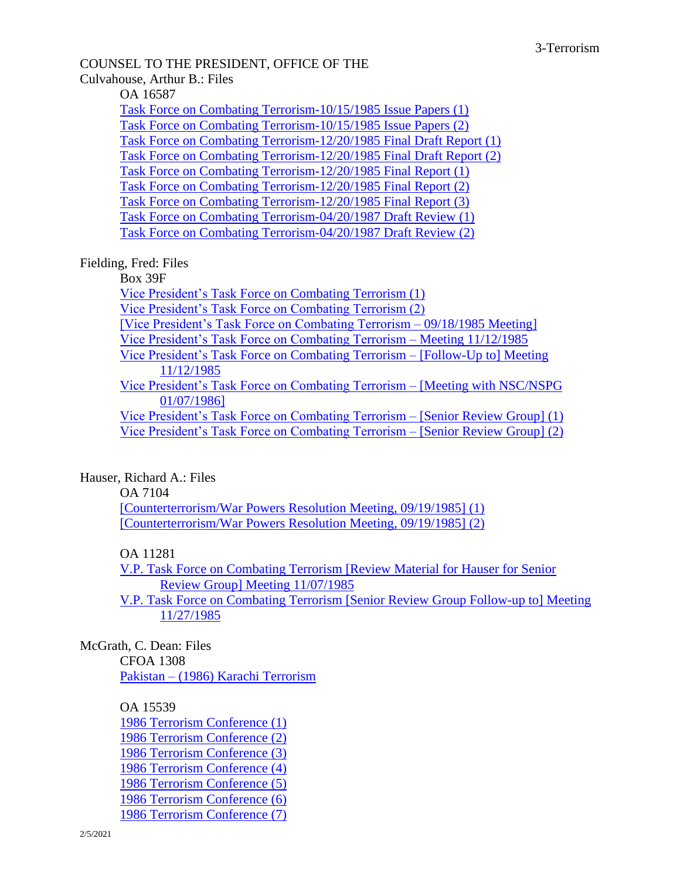# COUNSEL TO THE PRESIDENT, OFFICE OF THE

## Culvahouse, Arthur B.: Files

OA 16587

[Task Force on Combating Terrorism-10/15/1985 Issue Papers \(1\)](https://reaganlibrary.gov/public/digitallibrary/smof/counsel/culvahouse/oa16587/40-123-12011812-oa16587-001-2017.pdf) [Task Force on Combating Terrorism-10/15/1985 Issue Papers \(2\)](https://reaganlibrary.gov/public/digitallibrary/smof/counsel/culvahouse/oa16587/40-123-12011812-oa16587-002-2017.pdf) [Task Force on Combating Terrorism-12/20/1985 Final Draft Report \(1\)](https://reaganlibrary.gov/public/digitallibrary/smof/counsel/culvahouse/oa16587/40-123-12011812-oa16587-003-2017.pdf) [Task Force on Combating Terrorism-12/20/1985 Final Draft Report \(2\)](https://reaganlibrary.gov/public/digitallibrary/smof/counsel/culvahouse/oa16587/40-123-12011812-oa16587-004-2017.pdf) [Task Force on Combating Terrorism-12/20/1985 Final Report \(1\)](https://reaganlibrary.gov/public/digitallibrary/smof/counsel/culvahouse/oa16587/40-123-12011812-oa16587-005-2017.pdf) [Task Force on Combating Terrorism-12/20/1985 Final Report \(2\)](https://reaganlibrary.gov/public/digitallibrary/smof/counsel/culvahouse/oa16587/40-123-12011812-oa16587-006-2017.pdf) [Task Force on Combating Terrorism-12/20/1985 Final Report \(3\)](https://reaganlibrary.gov/public/digitallibrary/smof/counsel/culvahouse/oa16587/40-123-12011812-oa16587-007-2017.pdf) [Task Force on Combating Terrorism-04/20/1987 Draft Review \(1\)](https://reaganlibrary.gov/public/digitallibrary/smof/counsel/culvahouse/oa16587/40-123-12011812-oa16587-008-2017.pdf) [Task Force on Combating Terrorism-04/20/1987 Draft Review \(2\)](https://reaganlibrary.gov/public/digitallibrary/smof/counsel/culvahouse/oa16587/40-123-12011812-oa16587-009-2017.pdf)

## Fielding, Fred: Files

Box 39F

[Vice President's Task Force on Combating Terrorism \(1\)](https://reaganlibrary.gov/public/digitallibrary/smof/counsel/fielding/39f/40-184-7788900-39f-001-2017.pdf) [Vice President's Task Force on Combating Terrorism \(2\)](https://reaganlibrary.gov/public/digitallibrary/smof/counsel/fielding/39f/40-184-7788900-39f-002-2017.pdf) [\[Vice President's Task Force on Combating Terrorism –](https://reaganlibrary.gov/public/digitallibrary/smof/counsel/fielding/39f/40-184-7788900-39f-003-2017.pdf) 09/18/1985 Meeting] [Vice President's Task Force on Combating Terrorism –](https://reaganlibrary.gov/public/digitallibrary/smof/counsel/fielding/39f/40-184-7788900-39f-004-2017.pdf) Meeting 11/12/1985 Vice President's [Task Force on Combating Terrorism –](https://reaganlibrary.gov/public/digitallibrary/smof/counsel/fielding/39f/40-184-7788900-39f-005-2017.pdf) [Follow-Up to] Meeting [11/12/1985](https://reaganlibrary.gov/public/digitallibrary/smof/counsel/fielding/39f/40-184-7788900-39f-005-2017.pdf) [Vice President's Task Force on Combating Terrorism –](https://reaganlibrary.gov/public/digitallibrary/smof/counsel/fielding/39f/40-184-7788900-39f-006-2017.pdf) [Meeting with NSC/NSPG [01/07/1986\]](https://reaganlibrary.gov/public/digitallibrary/smof/counsel/fielding/39f/40-184-7788900-39f-006-2017.pdf) [Vice President's Task Force on Combating Terrorism –](https://reaganlibrary.gov/public/digitallibrary/smof/counsel/fielding/39f/40-184-7788900-39f-007-2017.pdf) [Senior Review Group] (1) [Vice President's Task Force on Combating Terrorism –](https://reaganlibrary.gov/public/digitallibrary/smof/counsel/fielding/39f/40-184-7788900-39f-008-2017.pdf) [Senior Review Group] (2)

#### Hauser, Richard A.: Files

OA 7104

[\[Counterterrorism/War Powers Resolution Meeting, 09/19/1985\]](https://reaganlibrary.gov/public/digitallibrary/smof/counsel/hauser/oa7104/40-233-12008797-oa7104-001-2017.pdf) (1) [\[Counterterrorism/War Powers Resolution Meeting, 09/19/1985\]](https://reaganlibrary.gov/public/digitallibrary/smof/counsel/hauser/oa7104/40-233-12008797-oa7104-002-2017.pdf) (2)

#### OA 11281

[V.P. Task Force on Combating Terrorism \[Review Material for Hauser for Senior](https://reaganlibrary.gov/public/digitallibrary/smof/counsel/hauser/oa11281/40-233-12008797-oa11281-001-2017.pdf)  [Review Group\] Meeting 11/07/1985](https://reaganlibrary.gov/public/digitallibrary/smof/counsel/hauser/oa11281/40-233-12008797-oa11281-001-2017.pdf)

[V.P. Task Force on Combating Terrorism \[Senior Review Group Follow-up to\] Meeting](https://reaganlibrary.gov/public/digitallibrary/smof/counsel/hauser/oa11281/40-233-12008797-oa11281-002-2017.pdf)  [11/27/1985](https://reaganlibrary.gov/public/digitallibrary/smof/counsel/hauser/oa11281/40-233-12008797-oa11281-002-2017.pdf)

#### McGrath, C. Dean: Files

CFOA 1308 Pakistan – [\(1986\) Karachi Terrorism](https://www.reaganlibrary.gov/public/digitallibrary/smof/counsel/mcgrath/cf1308/40-363-12009802-CF1308-002-2019.pdf)

#### OA 15539

[1986 Terrorism Conference \(1\)](https://www.reaganlibrary.gov/public/digitallibrary/smof/counsel/mcgrath/oa15539/40-363-12009802-OA15539-001-2019.pdf) [1986 Terrorism Conference \(2\)](https://www.reaganlibrary.gov/public/digitallibrary/smof/counsel/mcgrath/oa15539/40-363-12009802-OA15539-002-2019.pdf) [1986 Terrorism Conference \(3\)](https://www.reaganlibrary.gov/public/digitallibrary/smof/counsel/mcgrath/oa15539/40-363-12009802-OA15539-003-2019.pdf) [1986 Terrorism Conference \(4\)](https://www.reaganlibrary.gov/public/digitallibrary/smof/counsel/mcgrath/oa15539/40-363-12009802-OA15539-004-2019.pdf) [1986 Terrorism Conference \(5\)](https://www.reaganlibrary.gov/public/digitallibrary/smof/counsel/mcgrath/oa15539/40-363-12009802-OA15539-005-2019.pdf) [1986 Terrorism Conference \(6\)](https://www.reaganlibrary.gov/public/2021-02/40-363-12009802-OA15539-006-2019_0.pdf?gchF2TAphzdhKIw94__5e_bWFP5FCLq9=) [1986 Terrorism Conference \(7\)](https://www.reaganlibrary.gov/public/digitallibrary/smof/counsel/mcgrath/oa15539/40-363-12009802-OA15539-007-2019.pdf)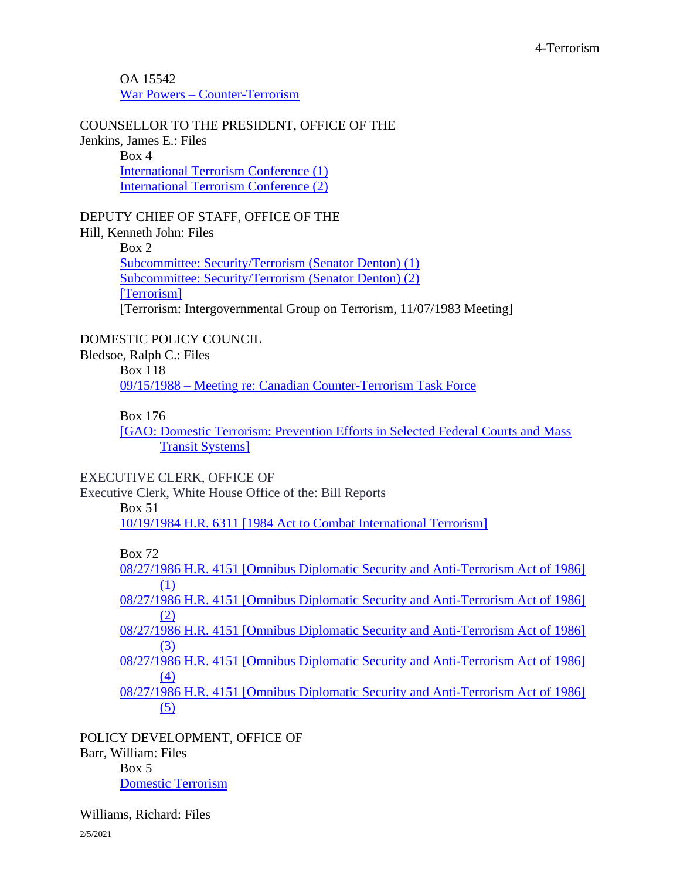OA 15542 War Powers – [Counter-Terrorism](https://www.reaganlibrary.gov/public/digitallibrary/smof/counsel/mcgrath/oa15542/40-363-12009802-OA15542-001-2019.pdf)

COUNSELLOR TO THE PRESIDENT, OFFICE OF THE Jenkins, James E.: Files Box 4 [International Terrorism Conference \(1\)](https://reaganlibrary.gov/public/digitallibrary/smof/counsellor/jenkins/oa10569/40-274-12009466-oa10567-001-2017.pdf) [International Terrorism Conference \(2\)](https://reaganlibrary.gov/public/digitallibrary/smof/counsellor/jenkins/oa10569/40-274-12009466-oa10567-002-2017.pdf)

DEPUTY CHIEF OF STAFF, OFFICE OF THE

Hill, Kenneth John: Files Box 2 [Subcommittee: Security/Terrorism \(Senator Denton\) \(1\)](https://reaganlibrary.gov/public/digitallibrary/smof/dcos/hill/box-002/40-248-7065104-002-012-2017.pdf) [Subcommittee: Security/Terrorism \(Senator Denton\) \(2\)](https://reaganlibrary.gov/public/digitallibrary/smof/dcos/hill/box-002/40-248-7065104-002-013-2017.pdf) [\[Terrorism\]](https://reaganlibrary.gov/public/digitallibrary/smof/dcos/hill/box-002/40-248-7065104-002-016-2017.pdf) [Terrorism: Intergovernmental Group on Terrorism, 11/07/1983 Meeting]

DOMESTIC POLICY COUNCIL

Bledsoe, Ralph C.: Files Box 118 09/15/1988 – [Meeting re: Canadian Counter-Terrorism Task Force](https://www.reaganlibrary.gov/public/digitallibrary/smof/dpc/bledsoe/box-118/40-050-6120541-118-005-2019.pdf)

## Box 176

[\[GAO: Domestic Terrorism: Prevention Efforts in Selected Federal Courts and Mass](https://www.reaganlibrary.gov/public/digitallibrary/smof/dpc/bledsoe/box-176/40-050-6120877-176-008-2019.pdf)  [Transit Systems\]](https://www.reaganlibrary.gov/public/digitallibrary/smof/dpc/bledsoe/box-176/40-050-6120877-176-008-2019.pdf)

## EXECUTIVE CLERK, OFFICE OF

Executive Clerk, White House Office of the: Bill Reports

Box 51

[10/19/1984 H.R. 6311 \[1984 Act to Combat International Terrorism\]](https://www.reaganlibrary.gov/public/digitallibrary/smof/executiveclerk/box-051/40-743-6909857-051-009-2019.pdf)

Box 72

[08/27/1986 H.R. 4151 \[Omnibus Diplomatic Security and Anti-Terrorism Act of 1986\]](https://www.reaganlibrary.gov/public/digitallibrary/smof/executiveclerk/box-072/40-743-6909857-072-001-2019.pdf)  [\(1\)](https://www.reaganlibrary.gov/public/digitallibrary/smof/executiveclerk/box-072/40-743-6909857-072-001-2019.pdf)

[08/27/1986 H.R. 4151 \[Omnibus Diplomatic Security and Anti-Terrorism Act of 1986\]](https://www.reaganlibrary.gov/public/digitallibrary/smof/executiveclerk/box-072/40-743-6909857-072-002-2019.pdf)  [\(2\)](https://www.reaganlibrary.gov/public/digitallibrary/smof/executiveclerk/box-072/40-743-6909857-072-002-2019.pdf)

[08/27/1986 H.R. 4151 \[Omnibus Diplomatic Security and Anti-Terrorism Act of 1986\]](https://www.reaganlibrary.gov/public/digitallibrary/smof/executiveclerk/box-072/40-743-6909857-072-003-2019.pdf)  [\(3\)](https://www.reaganlibrary.gov/public/digitallibrary/smof/executiveclerk/box-072/40-743-6909857-072-003-2019.pdf)

[08/27/1986 H.R. 4151 \[Omnibus Diplomatic Security and Anti-Terrorism Act of 1986\]](https://www.reaganlibrary.gov/public/digitallibrary/smof/executiveclerk/box-072/40-743-6909857-072-004-2019.pdf)  [\(4\)](https://www.reaganlibrary.gov/public/digitallibrary/smof/executiveclerk/box-072/40-743-6909857-072-004-2019.pdf)

[08/27/1986 H.R. 4151 \[Omnibus Diplomatic Security and Anti-Terrorism Act of 1986\]](https://www.reaganlibrary.gov/public/digitallibrary/smof/executiveclerk/box-072/40-743-6909857-072-005-2019.pdf)  [\(5\)](https://www.reaganlibrary.gov/public/digitallibrary/smof/executiveclerk/box-072/40-743-6909857-072-005-2019.pdf)

POLICY DEVELOPMENT, OFFICE OF Barr, William: Files Box 5 [Domestic Terrorism](https://www.reaganlibrary.gov/public/digitallibrary/smof/policydev/barr/box-005/40-035-21969590-005-009-2018.pdf)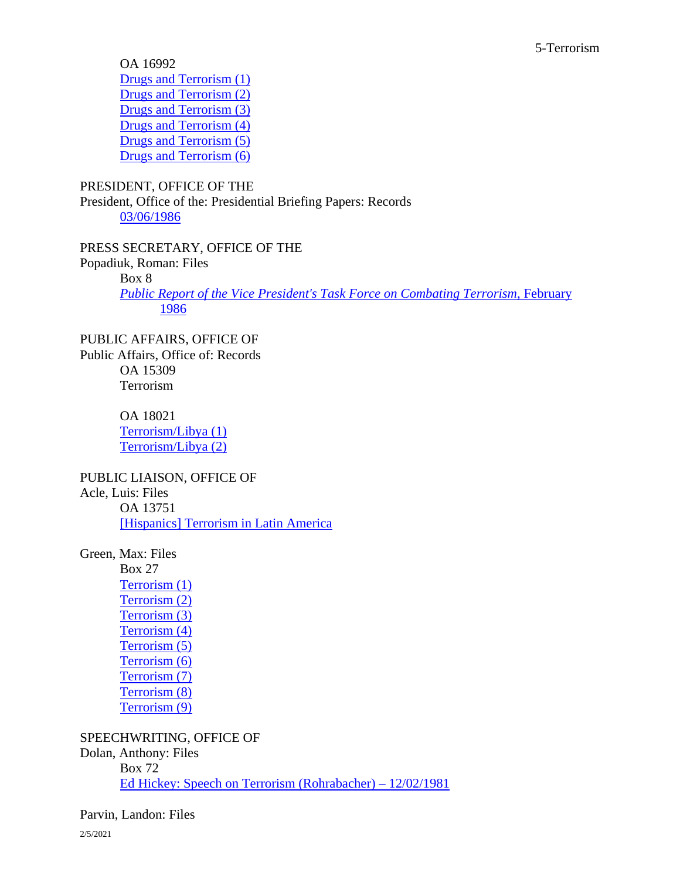OA 16992 [Drugs and Terrorism \(1\)](https://www.reaganlibrary.gov/public/digitallibrary/smof/drugabusepolicyoffice/williams/oa16992/40-608-12013954-OA16992-001-2017.pdf) [Drugs and Terrorism \(2\)](https://www.reaganlibrary.gov/public/digitallibrary/smof/drugabusepolicyoffice/williams/oa16992/40-608-12013954-OA16992-002-2017.pdf) [Drugs and Terrorism \(3\)](https://www.reaganlibrary.gov/public/digitallibrary/smof/drugabusepolicyoffice/williams/oa16992/40-608-12013954-OA16992-003-2017.pdf) [Drugs and Terrorism \(4\)](https://www.reaganlibrary.gov/public/digitallibrary/smof/drugabusepolicyoffice/williams/oa16992/40-608-12013954-OA16992-004-2017.pdf) [Drugs and Terrorism \(5\)](https://www.reaganlibrary.gov/public/digitallibrary/smof/drugabusepolicyoffice/williams/oa16992/40-608-12013954-OA16992-005-2017.pdf) [Drugs and Terrorism \(6\)](https://www.reaganlibrary.gov/public/digitallibrary/smof/drugabusepolicyoffice/williams/oa16992/40-608-12013954-OA16992-006-2017.pdf)

## PRESIDENT, OFFICE OF THE

President, Office of the: Presidential Briefing Papers: Records [03/06/1986](https://www.reaganlibrary.gov/public/digitallibrary/smof/president/presidentialbriefingpapers/box-067/40_439_5730647_067_018_2016.pdf)

PRESS SECRETARY, OFFICE OF THE Popadiuk, Roman: Files Box 8 *[Public Report of the Vice President's Task Force on Combating Terrorism](https://www.reaganlibrary.gov/public/digitallibrary/smof/presssecretary/popadiuk/box-008/40-434-66956915-008-007-2017.pdf)*, February [1986](https://www.reaganlibrary.gov/public/digitallibrary/smof/presssecretary/popadiuk/box-008/40-434-66956915-008-007-2017.pdf)

PUBLIC AFFAIRS, OFFICE OF Public Affairs, Office of: Records OA 15309 Terrorism

> OA 18021 [Terrorism/Libya \(1\)](https://www.reaganlibrary.gov/public/digitallibrary/smof/publicaffairs/oa18021/40-453-7890423-OA18021-001-2017.pdf) [Terrorism/Libya \(2\)](https://www.reaganlibrary.gov/public/digitallibrary/smof/publicaffairs/oa18021/40-453-7890423-OA18021-002-2017.pdf)

PUBLIC LIAISON, OFFICE OF

Acle, Luis: Files

OA 13751 [\[Hispanics\] Terrorism in Latin America](https://reaganlibrary.gov/public/digitallibrary/smof/publicliaison/acle/oa13751/40-003-23829657-oa13751-001-2017.pdf)

Green, Max: Files

Box 27 [Terrorism \(1\)](https://www.reaganlibrary.gov/public/digitallibrary/smof/publicliaison/green/Box-027/40-219-6927378-027-012-2017.pdf) [Terrorism \(2\)](https://www.reaganlibrary.gov/public/digitallibrary/smof/publicliaison/green/Box-027/40-219-6927378-027-013-2017.pdf) [Terrorism \(3\)](https://www.reaganlibrary.gov/public/digitallibrary/smof/publicliaison/green/Box-027/40-219-6927378-027-014-2017.pdf) [Terrorism \(4\)](https://www.reaganlibrary.gov/public/digitallibrary/smof/publicliaison/green/Box-027/40-219-6927378-027-015-2017.pdf) [Terrorism \(5\)](https://www.reaganlibrary.gov/public/digitallibrary/smof/publicliaison/green/Box-027/40-219-6927378-027-016-2017.pdf) [Terrorism \(6\)](https://www.reaganlibrary.gov/public/digitallibrary/smof/publicliaison/green/Box-027/40-219-6927378-027-017-2017.pdf) [Terrorism \(7\)](https://www.reaganlibrary.gov/public/digitallibrary/smof/publicliaison/green/Box-027/40-219-6927378-027-018-2017.pdf) [Terrorism \(8\)](https://www.reaganlibrary.gov/public/digitallibrary/smof/publicliaison/green/Box-027/40-219-6927378-027-019-2017.pdf) [Terrorism \(9\)](https://www.reaganlibrary.gov/public/digitallibrary/smof/publicliaison/green/Box-027/40-219-6927378-027-020-2017.pdf)

SPEECHWRITING, OFFICE OF

Dolan, Anthony: Files Box 72 [Ed Hickey: Speech on Terrorism \(Rohrabacher\) –](https://reaganlibrary.gov/public/digitallibrary/smof/speechwriting/dolan/box-072/40-146-5717053-072-071-2017.pdf) 12/02/1981

Parvin, Landon: Files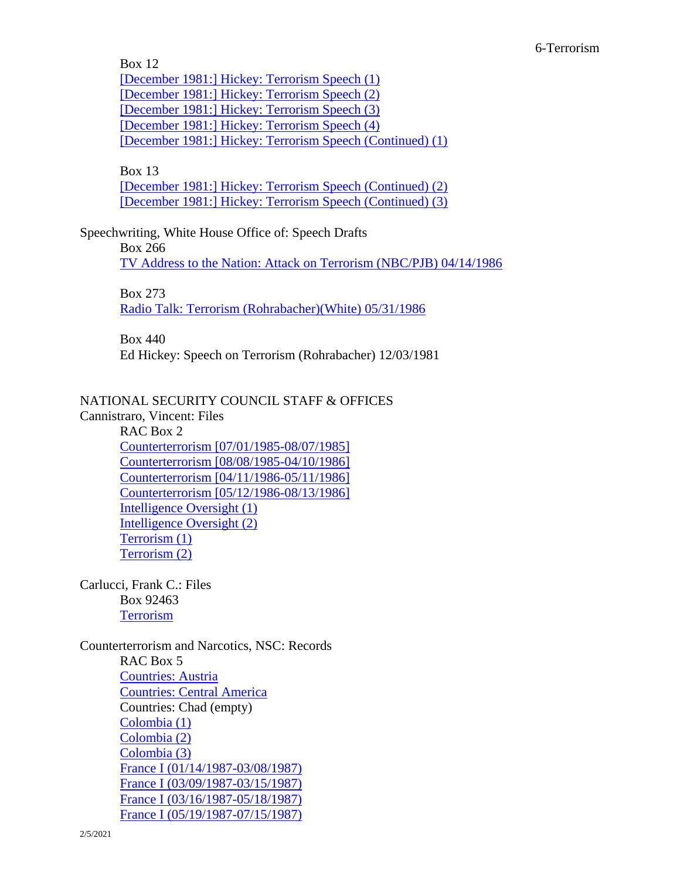Box 12 [\[December 1981:\] Hickey: Terrorism Speech \(1\)](https://reaganlibrary.gov/public/digitallibrary/smof/speechwriting/parvin/box-012/40-416-5717103-012-028-2017.pdf) [\[December 1981:\] Hickey: Terrorism Speech \(2\)](https://reaganlibrary.gov/public/digitallibrary/smof/speechwriting/parvin/box-012/40-416-5717103-012-029-2017.pdf) [\[December 1981:\] Hickey: Terrorism Speech \(3\)](https://reaganlibrary.gov/public/digitallibrary/smof/speechwriting/parvin/box-012/40-416-5717103-012-030-2017.pdf) [\[December 1981:\] Hickey: Terrorism Speech \(4\)](https://reaganlibrary.gov/public/digitallibrary/smof/speechwriting/parvin/box-012/40-416-5717103-012-031-2017.pdf) [\[December 1981:\] Hickey: Terrorism Speech \(Continued\) \(1\)](https://reaganlibrary.gov/public/digitallibrary/smof/speechwriting/parvin/box-012/40-416-5717103-012-032-2017.pdf)

Box 13

[\[December 1981:\] Hickey: Terrorism Speech \(Continued\)](https://reaganlibrary.gov/public/digitallibrary/smof/speechwriting/parvin/box-013/40-416-5717103-013-001-2017.pdf) (2) [\[December 1981:\] Hickey: Terrorism Speech \(Continued\)](https://reaganlibrary.gov/public/digitallibrary/smof/speechwriting/parvin/box-013/40-416-5717103-013-002-2017.pdf) (3)

Speechwriting, White House Office of: Speech Drafts

Box 266

[TV Address to the Nation: Attack on Terrorism \(NBC/PJB\) 04/14/1986](https://www.reaganlibrary.gov/public/digitallibrary/smof/speechwriting-speechdrafts/box-266/40-534-5709750-266-004-2019.pdf)

Box 273

[Radio Talk: Terrorism \(Rohrabacher\)\(White\) 05/31/1986](https://www.reaganlibrary.gov/public/digitallibrary/smof/speechwriting-speechdrafts/box-273/40-534-5709750-273-012-2019.pdf)

Box 440

Ed Hickey: Speech on Terrorism (Rohrabacher) 12/03/1981

# NATIONAL SECURITY COUNCIL STAFF & OFFICES

Cannistraro, Vincent: Files RAC Box 2 [Counterterrorism \[07/01/1985-08/07/1985\]](https://www.reaganlibrary.gov/public/digitallibrary/smof/nscintelligence/cannistraro/r2/40-622-39149349-R2-001-2017.pdf) [Counterterrorism \[08/08/1985-04/10/1986\]](https://www.reaganlibrary.gov/public/digitallibrary/smof/nscintelligence/cannistraro/r2/40-622-39149349-R2-002-2017.pdf) [Counterterrorism \[04/11/1986-05/11/1986\]](https://www.reaganlibrary.gov/public/digitallibrary/smof/nscintelligence/cannistraro/r2/40-622-39149349-R2-003-2017.pdf) [Counterterrorism \[05/12/1986-08/13/1986\]](https://www.reaganlibrary.gov/public/digitallibrary/smof/nscintelligence/cannistraro/r2/40-622-39149349-R2-004-2017.pdf) [Intelligence Oversight \(1\)](https://www.reaganlibrary.gov/public/digitallibrary/smof/nscintelligence/cannistraro/r2/40-622-39149349-R2-005-2017.pdf) [Intelligence Oversight \(2\)](https://www.reaganlibrary.gov/public/digitallibrary/smof/nscintelligence/cannistraro/r2/40-622-39149349-R2-006-2017.pdf) [Terrorism \(1\)](https://www.reaganlibrary.gov/public/digitallibrary/smof/nscintelligence/cannistraro/r2/40-622-39149349-R2-007-2017.pdf) [Terrorism \(2\)](https://www.reaganlibrary.gov/public/digitallibrary/smof/nscintelligence/cannistraro/r2/40-622-39149349-R2-008-2017.pdf)

Carlucci, Frank C.: Files Box 92463 **[Terrorism](https://reaganlibrary.gov/public/digitallibrary/smof/nsa/carlucci/92463/40-083-53245569-92463-001-2017.pdf)** 

Counterterrorism and Narcotics, NSC: Records RAC Box 5 [Countries: Austria](https://www.reaganlibrary.gov/public/2021-01/austria.pdf?uiZTeZU8VzWxeKa_FcHLpkiuf74CLs5L=) [Countries: Central America](https://reaganlibrary.gov/public/digitallibrary/smof/counterterrorism/r5/centralamerica.pdf) Countries: Chad (empty) [Colombia \(1\)](https://reaganlibrary.gov/public/digitallibrary/smof/counterterrorism/r5/colombia1.pdf) [Colombia \(2\)](https://reaganlibrary.gov/public/digitallibrary/smof/counterterrorism/r5/colombia2.pdf) [Colombia \(3\)](https://reaganlibrary.gov/public/digitallibrary/smof/counterterrorism/r5/colombia3.pdf)

[France I \(01/14/1987-03/08/1987\)](https://reaganlibrary.gov/public/digitallibrary/smof/counterterrorism/r5/francei1-14-1987-03-08-1987.pdf) [France I \(03/09/1987-03/15/1987\)](https://reaganlibrary.gov/public/digitallibrary/smof/counterterrorism/r5/francei3-9-1987-3-15-1987.pdf) [France I \(03/16/1987-05/18/1987\)](https://reaganlibrary.gov/public/digitallibrary/smof/counterterrorism/r5/francei03-16-1987-05-18-1987.pdf) [France I \(05/19/1987-07/15/1987\)](https://reaganlibrary.gov/public/digitallibrary/smof/counterterrorism/r5/francei05-19-1987-07-15-1987.pdf)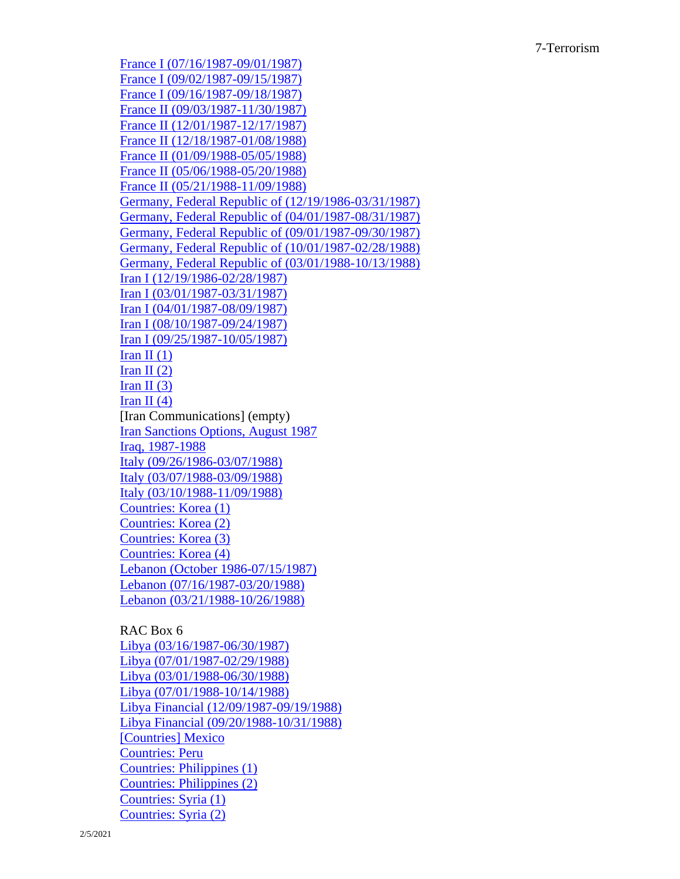[France I \(07/16/1987-09/01/1987\)](https://reaganlibrary.gov/public/digitallibrary/smof/counterterrorism/r5/francei07-16-1987-09-01-1987.pdf) [France I \(09/02/1987-09/15/1987\)](https://reaganlibrary.gov/public/digitallibrary/smof/counterterrorism/r5/francei09-02-1987-09-15-1987.pdf) [France I \(09/16/1987-09/18/1987\)](https://reaganlibrary.gov/public/digitallibrary/smof/counterterrorism/r5/francei09-16-1987-09-18-1987.pdf) [France II \(09/03/1987-11/30/1987\)](https://reaganlibrary.gov/public/digitallibrary/smof/counterterrorism/r5/franceii09-03-1987-11-30-1987.pdf) [France II \(12/01/1987-12/17/1987\)](https://reaganlibrary.gov/public/digitallibrary/smof/counterterrorism/r5/franceii12-1-1987-12-17-1987.pdf) [France II \(12/18/1987-01/08/1988\)](https://reaganlibrary.gov/public/digitallibrary/smof/counterterrorism/r5/franceii12-18-1987-01-08-1988.pdf) [France II \(01/09/1988-05/05/1988\)](https://reaganlibrary.gov/public/digitallibrary/smof/counterterrorism/r5/franceii01-09-1988-05-05-1988.pdf) [France II \(05/06/1988-05/20/1988\)](https://reaganlibrary.gov/public/digitallibrary/smof/counterterrorism/r5/franceii05-06-1988-05-20-1988.pdf) [France II \(05/21/1988-11/09/1988\)](https://reaganlibrary.gov/public/digitallibrary/smof/counterterrorism/r5/franceii05-21-1988-11-09-1988.pdf) [Germany, Federal Republic of \(12/19/1986-03/31/1987\)](https://reaganlibrary.gov/public/digitallibrary/smof/counterterrorism/r5/germany12-19-1986-03-31-1987.pdf) [Germany, Federal Republic of \(04/01/1987-08/31/1987\)](https://reaganlibrary.gov/public/digitallibrary/smof/counterterrorism/r5/germany04-01-1987-08-31-1987.pdf) [Germany, Federal Republic of \(09/01/1987-09/30/1987\)](https://reaganlibrary.gov/public/digitallibrary/smof/counterterrorism/r5/germany09-01-1987-09-30-1987.pdf) [Germany, Federal Republic of \(10/01/1987-02/28/1988\)](https://reaganlibrary.gov/public/digitallibrary/smof/counterterrorism/r5/germany10-01-1987-2-28-1988.pdf) [Germany, Federal Republic of \(03/01/1988-10/13/1988\)](https://reaganlibrary.gov/public/digitallibrary/smof/counterterrorism/r5/germany03-01-1988-10-13-1988.pdf) [Iran I \(12/19/1986-02/28/1987\)](https://www.reaganlibrary.gov/public/digitallibrary/smof/counterterrorism/r5/irani12-19-1986-2-28-1987.pdf) [Iran I \(03/01/1987-03/31/1987\)](https://www.reaganlibrary.gov/public/digitallibrary/smof/counterterrorism/r5/irani03-1-87-3-31-87.pdf) [Iran I \(04/01/1987-08/09/1987\)](https://www.reaganlibrary.gov/public/digitallibrary/smof/counterterrorism/r5/irani04-01-1987-08-09-1987.pdf) [Iran I \(08/10/1987-09/24/1987\)](https://www.reaganlibrary.gov/public/digitallibrary/smof/counterterrorism/r5/irani08-10-1987-09-24-1987.pdf) [Iran I \(09/25/1987-10/05/1987\)](https://www.reaganlibrary.gov/public/digitallibrary/smof/counterterrorism/r5/irani09-25-1987-10-05-1987.pdf) Iran II $(1)$ Iran II $(2)$ Iran II $(3)$ Iran II $(4)$ [Iran Communications] (empty) [Iran Sanctions Options, August 1987](https://reaganlibrary.gov/public/digitallibrary/smof/counterterrorism/r5/iransanctionsoptions-aug1987.pdf) [Iraq, 1987-1988](https://reaganlibrary.gov/public/digitallibrary/smof/counterterrorism/r5/iraq1987-1988.pdf) [Italy \(09/26/1986-03/07/1988\)](https://reaganlibrary.gov/public/digitallibrary/smof/counterterrorism/r5/italy9-26-1986-3-7-1988.pdf) [Italy \(03/07/1988-03/09/1988\)](https://reaganlibrary.gov/public/digitallibrary/smof/counterterrorism/r5/italy3-7-1988-3-9-1988.pdf) [Italy \(03/10/1988-11/09/1988\)](https://reaganlibrary.gov/public/digitallibrary/smof/counterterrorism/r5/italy3-10-1988-11-9-1988.pdf) [Countries: Korea \(1\)](https://reaganlibrary.gov/public/digitallibrary/smof/counterterrorism/r5/korea1.pdf) [Countries: Korea \(2\)](https://reaganlibrary.gov/public/digitallibrary/smof/counterterrorism/r5/korea2.pdf) [Countries: Korea \(3\)](https://reaganlibrary.gov/public/digitallibrary/smof/counterterrorism/r5/korea3.pdf) [Countries: Korea \(4\)](https://reaganlibrary.gov/public/digitallibrary/smof/counterterrorism/r5/korea4.pdf) [Lebanon \(October 1986-07/15/1987\)](https://reaganlibrary.gov/public/digitallibrary/smof/counterterrorism/r5/lebanon-oct-7-15-1987.pdf) [Lebanon \(07/16/1987-03/20/1988\)](https://reaganlibrary.gov/public/digitallibrary/smof/counterterrorism/r5/lebanon-7-16-1987-3-20-1987.pdf) [Lebanon \(03/21/1988-10/26/1988\)](https://reaganlibrary.gov/public/digitallibrary/smof/counterterrorism/r5/lebanon3-21-1988-10-26-1988.pdf)

#### RAC Box 6

[Libya \(03/16/1987-06/30/1987\)](https://www.reaganlibrary.gov/public/digitallibrary/smof/counterterrorism/r6/libya3-16-1987-06-30-1987.pdf) [Libya \(07/01/1987-02/29/1988\)](https://reaganlibrary.gov/public/digitallibrary/smof/counterterrorism/r6/libya7-1-1987-2-29-1988.pdf) [Libya \(03/01/1988-06/30/1988\)](https://reaganlibrary.gov/public/digitallibrary/smof/counterterrorism/r6/libya3-1-1988-6-30-1988.pdf) [Libya \(07/01/1988-10/14/1988\)](https://reaganlibrary.gov/public/digitallibrary/smof/counterterrorism/r6/libya7-1-1988-10-14-1988.pdf) [Libya Financial \(12/09/1987-09/19/1988\)](https://reaganlibrary.gov/public/digitallibrary/smof/counterterrorism/r6/libyafinancial12-09-1987-09-09-1988.pdf) [Libya Financial \(09/20/1988-10/31/1988\)](https://reaganlibrary.gov/public/digitallibrary/smof/counterterrorism/r6/libyafinancial9-20-1988-10-31-1988.pdf) [\[Countries\] Mexico](https://reaganlibrary.gov/public/digitallibrary/smof/counterterrorism/r6/countriesmexico.pdf) [Countries: Peru](https://reaganlibrary.gov/public/digitallibrary/smof/counterterrorism/r6/peru.pdf) [Countries: Philippines \(1\)](https://reaganlibrary.gov/public/digitallibrary/smof/counterterrorism/r6/countriesphilippines1.pdf) [Countries: Philippines \(2\)](https://reaganlibrary.gov/public/digitallibrary/smof/counterterrorism/r6/countriesphilippines2.pdf) [Countries: Syria \(1\)](https://www.reaganlibrary.gov/public/digitallibrary/smof/counterterrorism/r6/syriai.pdf) [Countries: Syria \(2\)](https://www.reaganlibrary.gov/public/digitallibrary/smof/counterterrorism/r6/syriaii.pdf)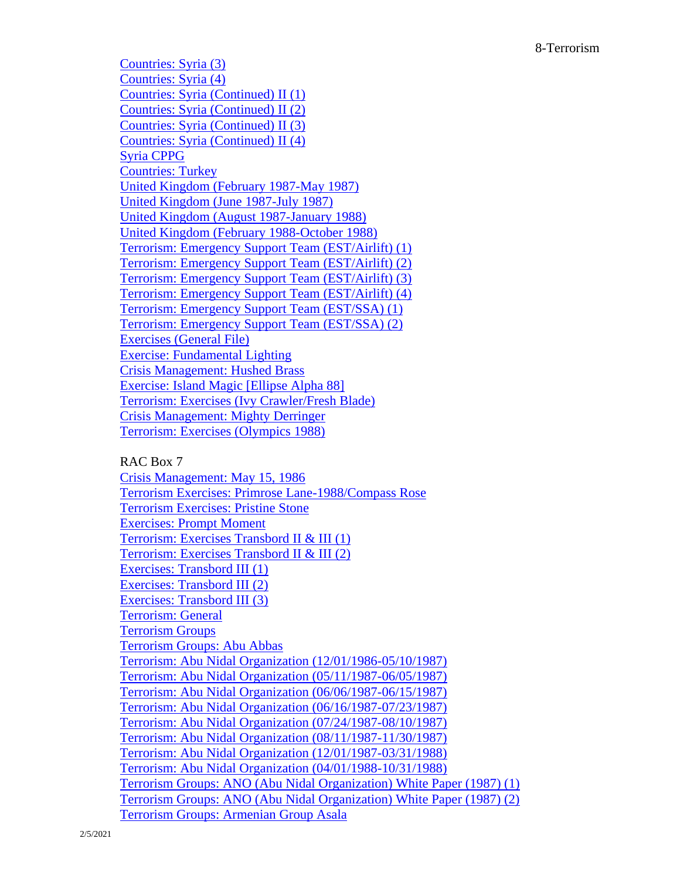[Countries: Syria \(3\)](https://www.reaganlibrary.gov/public/digitallibrary/smof/counterterrorism/r6/syriaiii.pdf) [Countries: Syria \(4\)](https://www.reaganlibrary.gov/public/digitallibrary/smof/counterterrorism/r6/syriaiv.pdf) [Countries: Syria \(Continued\) II \(1\)](https://www.reaganlibrary.gov/public/digitallibrary/smof/counterterrorism/r6/syriacontinuedi.pdf) [Countries: Syria \(Continued\) II \(2\)](https://www.reaganlibrary.gov/public/digitallibrary/smof/counterterrorism/r6/syriacontinuedii.pdf) [Countries: Syria \(Continued\) II \(3\)](https://www.reaganlibrary.gov/public/digitallibrary/smof/counterterrorism/r6/syriacontinuediii.pdf) [Countries: Syria \(Continued\) II \(4\)](https://www.reaganlibrary.gov/public/digitallibrary/smof/counterterrorism/r6/syriacontinuediv.pdf) [Syria CPPG](https://reaganlibrary.gov/public/digitallibrary/smof/counterterrorism/r6/syriacppg.pdf) [Countries: Turkey](https://www.reaganlibrary.gov/public/2021-01/turkey.pdf?ruQk60vLggu_IDg9tY2NrG2VulujlSgt=) [United Kingdom \(February 1987-May 1987\)](https://reaganlibrary.gov/public/digitallibrary/smof/counterterrorism/r6/unitedkingdomfeb1987-may1987.pdf) [United Kingdom \(June 1987-July 1987\)](https://reaganlibrary.gov/public/digitallibrary/smof/counterterrorism/r6/unitedkingdomjune1987-july1987.pdf) [United Kingdom \(August 1987-January 1988\)](https://reaganlibrary.gov/public/digitallibrary/smof/counterterrorism/r6/unitedkingdomaugust1987-january1988.pdf) [United Kingdom \(February 1988-October 1988\)](https://reaganlibrary.gov/public/digitallibrary/smof/counterterrorism/r6/unitedkingdomfeb1988-october1988.pdf) [Terrorism: Emergency Support Team \(EST/Airlift\) \(1\)](https://reaganlibrary.gov/public/digitallibrary/smof/counterterrorism/r6/terrorism-emergencysupportteam1.pdf) [Terrorism: Emergency Support Team \(EST/Airlift\) \(2\)](https://reaganlibrary.gov/public/digitallibrary/smof/counterterrorism/r6/terrorism-emergencysupportteam2.pdf) [Terrorism: Emergency Support Team \(EST/Airlift\) \(3\)](https://reaganlibrary.gov/public/digitallibrary/smof/counterterrorism/r6/terrorism-emergencysupportteam3.pdf) [Terrorism: Emergency Support Team \(EST/Airlift\) \(4\)](https://reaganlibrary.gov/public/digitallibrary/smof/counterterrorism/r6/terrorism-emergencysupportteam4.pdf) [Terrorism: Emergency Support Team \(EST/SSA\) \(1\)](https://www.reaganlibrary.gov/public/digitallibrary/smof/counterterrorism/r6/terrorism-emergencysupportteamssa1.pdf) [Terrorism: Emergency Support Team \(EST/SSA\) \(2\)](https://www.reaganlibrary.gov/public/digitallibrary/smof/counterterrorism/r6/terrorism-emergencysupportteamssa2.pdf) [Exercises \(General File\)](https://reaganlibrary.gov/public/digitallibrary/smof/counterterrorism/r6/exercisesgeneral.pdf) [Exercise: Fundamental Lighting](https://reaganlibrary.gov/public/digitallibrary/smof/counterterrorism/r6/exercise-funadmentallighting.pdf) [Crisis Management: Hushed Brass](https://reaganlibrary.gov/public/digitallibrary/smof/counterterrorism/r6/crisismanagement-hushedbrass.pdf) [Exercise: Island Magic \[Ellipse Alpha 88\]](https://reaganlibrary.gov/public/digitallibrary/smof/counterterrorism/r6/exerciseislandmagic.pdf) [Terrorism: Exercises \(Ivy Crawler/Fresh Blade\)](https://reaganlibrary.gov/public/digitallibrary/smof/counterterrorism/r6/terrorismexervises-ivycrawler.pdf) [Crisis Management: Mighty Derringer](https://reaganlibrary.gov/public/digitallibrary/smof/counterterrorism/r6/crisismanagement-mightderringer.pdf) [Terrorism: Exercises \(Olympics 1988\)](https://reaganlibrary.gov/public/digitallibrary/smof/counterterrorism/r6/terrorism-olympics88.pdf)

## RAC Box 7

[Crisis Management: May 15, 1986](https://reaganlibrary.gov/public/digitallibrary/smof/counterterrorism/r7/crisismanagement05-15-1986.pdf) [Terrorism Exercises: Primrose Lane-1988/Compass Rose](https://reaganlibrary.gov/public/digitallibrary/smof/counterterrorism/r7/terrorismexercises-pr1988-compassrose.pdf) [Terrorism Exercises: Pristine Stone](https://reaganlibrary.gov/public/digitallibrary/smof/counterterrorism/r7/terrorismexercises-pristinestone.pdf) [Exercises: Prompt Moment](https://reaganlibrary.gov/public/digitallibrary/smof/counterterrorism/r7/exercises-prompmoment.pdf) [Terrorism: Exercises Transbord II & III \(1\)](https://reaganlibrary.gov/public/digitallibrary/smof/counterterrorism/r7/terrorism-exercises-transbordiiandiii1.pdf) [Terrorism: Exercises Transbord II & III \(2\)](https://reaganlibrary.gov/public/digitallibrary/smof/counterterrorism/r7/terrorism-exercises-transbordiiandiii2.pdf) [Exercises: Transbord III \(1\)](https://reaganlibrary.gov/public/digitallibrary/smof/counterterrorism/r7/exercises-transbordiii1.pdf) [Exercises: Transbord III \(2\)](https://reaganlibrary.gov/public/digitallibrary/smof/counterterrorism/r7/exercises-transbordiii2.pdf) [Exercises: Transbord III \(3\)](https://reaganlibrary.gov/public/digitallibrary/smof/counterterrorism/r7/exercises-transbordiii3.pdf) [Terrorism: General](https://reaganlibrary.gov/public/digitallibrary/smof/counterterrorism/r7/terrorism-general.pdf) [Terrorism Groups](https://reaganlibrary.gov/public/digitallibrary/smof/counterterrorism/r7/terrorismgroups.pdf) [Terrorism Groups: Abu Abbas](https://reaganlibrary.gov/public/digitallibrary/smof/counterterrorism/r7/terrorismgroups-abuabbas.pdf) [Terrorism: Abu Nidal Organization \(12/01/1986-05/10/1987\)](https://reaganlibrary.gov/public/digitallibrary/smof/counterterrorism/r7/terrorism-abunidalorg12-01-1986-05-10-1987.pdf) [Terrorism: Abu Nidal Organization \(05/11/1987-06/05/1987\)](https://reaganlibrary.gov/public/digitallibrary/smof/counterterrorism/r7/terrorism-abunidalorg05-11-1986-06-05-1987.pdf) [Terrorism: Abu Nidal Organization \(06/06/1987-06/15/1987\)](https://reaganlibrary.gov/public/digitallibrary/smof/counterterrorism/r7/terrorism-abunidalorg06-06-1987-06-15-1987.pdf) [Terrorism: Abu Nidal Organization \(06/16/1987-07/23/1987\)](https://reaganlibrary.gov/public/digitallibrary/smof/counterterrorism/r7/terrorism-abunidalorg06-16-1987-07-23-1987.pdf) [Terrorism: Abu Nidal Organization \(07/24/1987-08/10/1987\)](https://reaganlibrary.gov/public/digitallibrary/smof/counterterrorism/r7/terrorism-abunidalorg07-24-1987-08-10-1987.pdf) [Terrorism: Abu Nidal Organization \(08/11/1987-11/30/1987\)](https://reaganlibrary.gov/public/digitallibrary/smof/counterterrorism/r7/terrorism-abunidalorg08-11-1987-11-30-1987.pdf) [Terrorism: Abu Nidal Organization \(12/01/1987-03/31/1988\)](https://reaganlibrary.gov/public/digitallibrary/smof/counterterrorism/r7/terrorism-abunidalorg12-01-1987-03-31-1987.pdf) [Terrorism: Abu Nidal Organization \(04/01/1988-10/31/1988\)](https://reaganlibrary.gov/public/digitallibrary/smof/counterterrorism/r7/terrorism-abunidalorg04-01-1988-10-31-1988.pdf) [Terrorism Groups: ANO \(Abu Nidal Organization\) White Paper \(1987\) \(1\)](https://www.reaganlibrary.gov/public/digitallibrary/smof/counterterrorism/r7/terrorismgroupsano-whitepaper1.pdf) [Terrorism Groups: ANO \(Abu Nidal Organization\) White Paper \(1987\) \(2\)](https://www.reaganlibrary.gov/public/digitallibrary/smof/counterterrorism/r7/terrorismgroupsano-whitepaper2.pdf) [Terrorism Groups: Armenian Group Asala](https://www.reaganlibrary.gov/public/digitallibrary/smof/counterterrorism/r7/terrorismgroups-armeniangroupasala.pdf)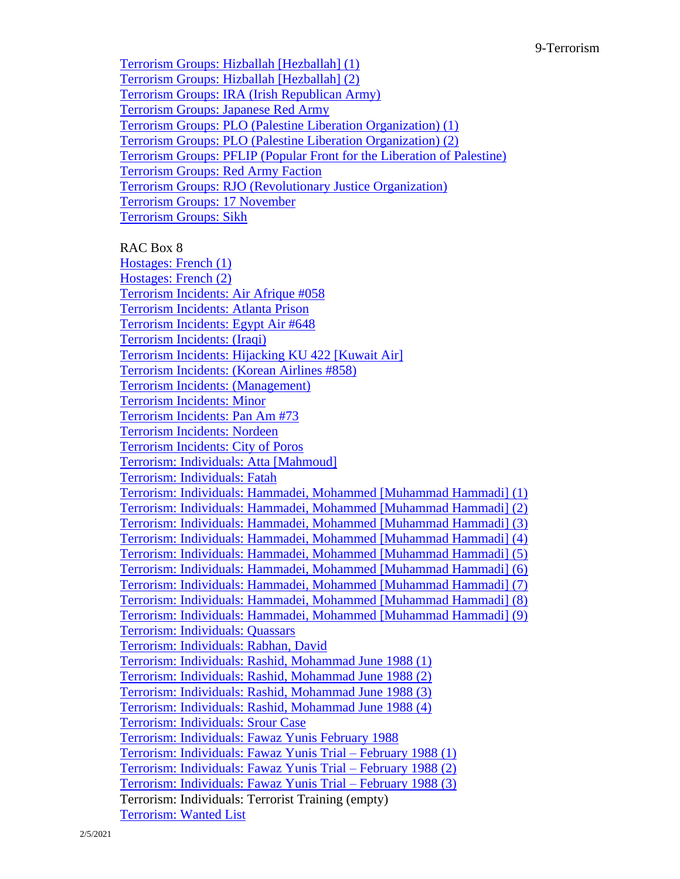[Terrorism Groups: Hizballah \[Hezballah\] \(1\)](https://reaganlibrary.gov/public/digitallibrary/smof/counterterrorism/r7/terrorismgroups-hizballah1.pdf) [Terrorism Groups: Hizballah \[Hezballah\] \(2\)](https://reaganlibrary.gov/public/digitallibrary/smof/counterterrorism/r7/terrorismgroups-hizballah2.pdf) [Terrorism Groups: IRA \(Irish Republican Army\)](https://www.reaganlibrary.gov/public/digitallibrary/smof/counterterrorism/r7/terrorismgroups-ira.pdf) [Terrorism Groups: Japanese Red Army](https://reaganlibrary.gov/public/digitallibrary/smof/counterterrorism/r7/terrorismgroups-japaneseredarmy.pdf) [Terrorism Groups: PLO \(Palestine](https://www.reaganlibrary.gov/public/digitallibrary/smof/counterterrorism/r7/terrorismgroups-plo.pdf) Liberation Organization) (1) [Terrorism Groups: PLO \(Palestine Liberation Organization\) \(2\)](https://www.reaganlibrary.gov/public/digitallibrary/smof/counterterrorism/r7/terrorismgroups-plo2.pdf) [Terrorism Groups: PFLIP \(Popular Front for the Liberation of Palestine\)](https://www.reaganlibrary.gov/public/digitallibrary/smof/counterterrorism/r7/terrorismgroups-pflp.pdf) [Terrorism Groups: Red Army Faction](https://reaganlibrary.gov/public/digitallibrary/smof/counterterrorism/r7/terrorismgroups-redarmyfaction.pdf) [Terrorism Groups: RJO \(Revolutionary Justice Organization\)](https://reaganlibrary.gov/public/digitallibrary/smof/counterterrorism/r7/terrorismgroupos-rjo.pdf) [Terrorism Groups: 17 November](https://reaganlibrary.gov/public/digitallibrary/smof/counterterrorism/r7/terrorismgroups-17november.pdf) [Terrorism Groups: Sikh](https://reaganlibrary.gov/public/digitallibrary/smof/counterterrorism/r7/terrorismgroups-sikh.pdf)

#### RAC Box 8

[Hostages: French \(1\)](https://reaganlibrary.gov/public/digitallibrary/smof/counterterrorism/r8/hostages-french1.pdf) [Hostages: French \(2\)](https://reaganlibrary.gov/public/digitallibrary/smof/counterterrorism/r8/hostages-french2.pdf) [Terrorism Incidents: Air Afrique #058](https://reaganlibrary.gov/public/digitallibrary/smof/counterterrorism/r8/terrorismincidents-airafrique058.pdf) [Terrorism Incidents: Atlanta Prison](https://reaganlibrary.gov/public/digitallibrary/smof/counterterrorism/r8/terrorismincidents-atlantaprison.pdf) [Terrorism Incidents: Egypt Air #648](https://reaganlibrary.gov/public/digitallibrary/smof/counterterrorism/r8/terrorismincidents-egyptair648.pdf) [Terrorism Incidents: \(Iraqi\)](https://reaganlibrary.gov/public/digitallibrary/smof/counterterrorism/r8/terrorismincidents-iraqi.pdf) [Terrorism Incidents: Hijacking KU 422 \[Kuwait Air\]](https://www.reaganlibrary.gov/public/digitallibrary/smof/counterterrorism/r8/terrorism-hijackingku422.pdf) [Terrorism Incidents: \(Korean Airlines #858\)](https://reaganlibrary.gov/public/digitallibrary/smof/counterterrorism/r8/terrorismincidents-koreanairlines858.pdf) [Terrorism Incidents: \(Management\)](https://reaganlibrary.gov/public/digitallibrary/smof/counterterrorism/r8/terrorismincidents-management.pdf) [Terrorism Incidents: Minor](https://reaganlibrary.gov/public/digitallibrary/smof/counterterrorism/r8/terrorismincidents-minor.pdf) [Terrorism Incidents: Pan Am #73](https://reaganlibrary.gov/public/digitallibrary/smof/counterterrorism/r8/terrorism-panam73.pdf) [Terrorism Incidents: Nordeen](https://reaganlibrary.gov/public/digitallibrary/smof/counterterrorism/r8/terrorismincidents-nordeen.pdf) [Terrorism Incidents: City of Poros](https://reaganlibrary.gov/public/digitallibrary/smof/counterterrorism/r8/terrorismincidents-cityofporos.pdf) [Terrorism: Individuals: Atta \[Mahmoud\]](https://reaganlibrary.gov/public/digitallibrary/smof/counterterrorism/r8/terrorism-individuals-attamahmoud.pdf) [Terrorism: Individuals: Fatah](https://reaganlibrary.gov/public/digitallibrary/smof/counterterrorism/r8/terrorism-individuals-fatah.pdf) [Terrorism: Individuals: Hammadei, Mohammed \[Muhammad Hammadi\] \(1\)](https://reaganlibrary.gov/public/digitallibrary/smof/counterterrorism/r8/terrorism-individuals-hammadeimohammed1.pdf) [Terrorism: Individuals: Hammadei, Mohammed \[Muhammad Hammadi\] \(2\)](https://reaganlibrary.gov/public/digitallibrary/smof/counterterrorism/r8/terrorism-individuals-hammadeimohammed2.pdf) [Terrorism: Individuals: Hammadei, Mohammed \[Muhammad Hammadi\] \(3\)](https://reaganlibrary.gov/public/digitallibrary/smof/counterterrorism/r8/terrorism-individuals-hammadeimohammed3.pdf) [Terrorism: Individuals: Hammadei, Mohammed \[Muhammad Hammadi\] \(4\)](https://reaganlibrary.gov/public/digitallibrary/smof/counterterrorism/r8/terrorism-individuals-hammadeimohammed4.pdf) [Terrorism: Individuals: Hammadei, Mohammed \[Muhammad Hammadi\] \(5\)](https://reaganlibrary.gov/public/digitallibrary/smof/counterterrorism/r8/terrorism-individuals-hammadeimohammed5.pdf) [Terrorism: Individuals: Hammadei, Mohammed \[Muhammad Hammadi\] \(6\)](https://reaganlibrary.gov/public/digitallibrary/smof/counterterrorism/r8/terrorism-individuals-hammadeimohammed6.pdf) [Terrorism: Individuals: Hammadei, Mohammed \[Muhammad Hammadi\] \(7\)](https://reaganlibrary.gov/public/digitallibrary/smof/counterterrorism/r8/terrorism-individuals-hammadeimohammed7.pdf) [Terrorism: Individuals: Hammadei, Mohammed \[Muhammad Hammadi\] \(8\)](https://reaganlibrary.gov/public/digitallibrary/smof/counterterrorism/r8/terrorism-individuals-hammadeimohammed8.pdf) [Terrorism: Individuals: Hammadei, Mohammed \[Muhammad Hammadi\] \(9\)](https://reaganlibrary.gov/public/digitallibrary/smof/counterterrorism/r8/terrorism-individuals-hammadeimohammed9.pdf) [Terrorism: Individuals: Quassars](https://reaganlibrary.gov/public/digitallibrary/smof/counterterrorism/r8/terrorism-individuals-quassars.pdf) [Terrorism: Individuals: Rabhan, David](https://reaganlibrary.gov/public/digitallibrary/smof/counterterrorism/r8/terrorism-individuals-rabhandavid.pdf) [Terrorism: Individuals: Rashid, Mohammad June 1988 \(1\)](https://reaganlibrary.gov/public/digitallibrary/smof/counterterrorism/r8/terrorism-individuals-rashidmohammad1.pdf) [Terrorism: Individuals: Rashid, Mohammad June 1988 \(2\)](https://reaganlibrary.gov/public/digitallibrary/smof/counterterrorism/r8/terrorism-individuals-rashidmohammad2.pdf) [Terrorism: Individuals: Rashid, Mohammad June 1988 \(3\)](https://reaganlibrary.gov/public/digitallibrary/smof/counterterrorism/r8/terrorism-individuals-rashidmohammad3.pdf) [Terrorism: Individuals: Rashid, Mohammad June 1988 \(4\)](https://reaganlibrary.gov/public/digitallibrary/smof/counterterrorism/r8/terrorism-individuals-rashidmohammad4.pdf) [Terrorism: Individuals: Srour Case](https://reaganlibrary.gov/public/digitallibrary/smof/counterterrorism/r8/terrorism-individuals-srourcase.pdf) [Terrorism: Individuals: Fawaz Yunis February 1988](https://reaganlibrary.gov/public/digitallibrary/smof/counterterrorism/r8/terrorism-individuals-fawazyunistrialfeb1988.pdf) [Terrorism: Individuals: Fawaz Yunis Trial –](https://reaganlibrary.gov/public/digitallibrary/smof/counterterrorism/r8/terrorism-individuals-fawazyunistrial1.pdf) February 1988 (1) [Terrorism: Individuals: Fawaz Yunis Trial –](https://reaganlibrary.gov/public/digitallibrary/smof/counterterrorism/r8/terrorism-individuals-fawazyunistrial2.pdf) February 1988 (2) [Terrorism: Individuals: Fawaz Yunis Trial –](https://reaganlibrary.gov/public/digitallibrary/smof/counterterrorism/r8/terrorism-individuals-fawazyunistrial3.pdf) February 1988 (3) Terrorism: Individuals: Terrorist Training (empty) [Terrorism: Wanted List](https://reaganlibrary.gov/public/digitallibrary/smof/counterterrorism/r8/terrorism-wantedlist.pdf)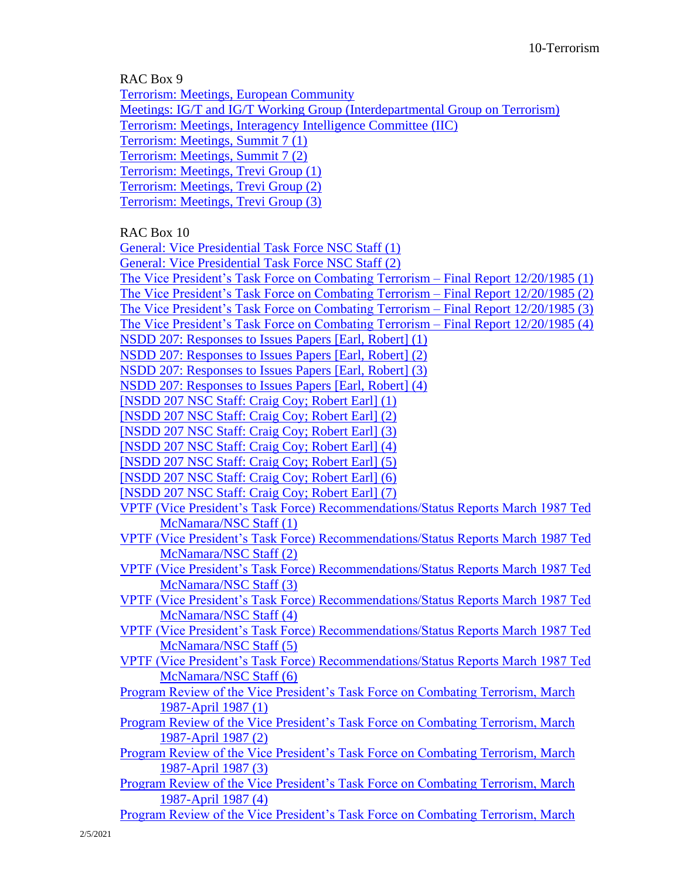RAC Box 9

[Terrorism: Meetings, European Community](https://reaganlibrary.gov/public/digitallibrary/smof/counterterrorism/r9/terrorism-meetings-europeancommunity.pdf) [Meetings: IG/T and IG/T Working Group \(Interdepartmental Group on Terrorism\)](https://reaganlibrary.gov/public/digitallibrary/smof/counterterrorism/r9/meetings-igtandigtwg.pdf) [Terrorism: Meetings, Interagency Intelligence Committee \(IIC\)](https://reaganlibrary.gov/public/digitallibrary/smof/counterterrorism/r9/terrorism-meetings-interagencyintelligencecommittee.pdf) [Terrorism: Meetings, Summit 7 \(1\)](https://reaganlibrary.gov/public/digitallibrary/smof/counterterrorism/r9/terrorism-meetingssummit71.pdf) [Terrorism: Meetings, Summit 7 \(2\)](https://reaganlibrary.gov/public/digitallibrary/smof/counterterrorism/r9/terrorism-meetingssummit72.pdf) [Terrorism: Meetings, Trevi Group \(1\)](https://reaganlibrary.gov/public/digitallibrary/smof/counterterrorism/r9/terrorism-meetings-trevigroup1.pdf) [Terrorism: Meetings, Trevi Group \(2\)](https://reaganlibrary.gov/public/digitallibrary/smof/counterterrorism/r9/terrorism-meetings-trevigroup2.pdf) [Terrorism: Meetings, Trevi Group \(3\)](https://reaganlibrary.gov/public/digitallibrary/smof/counterterrorism/r9/terrorism-meetings-trevigroup3.pdf)

RAC Box 10

[General: Vice Presidential Task Force NSC Staff \(1\)](https://www.reaganlibrary.gov/public/digitallibrary/smof/counterterrorism/r10/generalvptaskforce-nscstaff1.pdf) [General: Vice Presidential Task Force NSC Staff \(2\)](https://www.reaganlibrary.gov/public/digitallibrary/smof/counterterrorism/r10/generalvptaskforce-nscstaff2.pdf) [The Vice President's Task Force on Combating Terrorism –](https://reaganlibrary.gov/public/digitallibrary/smof/counterterrorism/r10/vptaskforceoncombatingterrorism-finalreport1.pdf) Final Report 12/20/1985 (1) [The Vice President's Task Force on Combating Terrorism –](https://reaganlibrary.gov/public/digitallibrary/smof/counterterrorism/r10/vptaskforceoncombatingterrorism-finalreport2.pdf) Final Report 12/20/1985 (2) [The Vice President's Task Force on Combating Terrorism –](https://reaganlibrary.gov/public/digitallibrary/smof/counterterrorism/r10/vptaskforceoncombatingterrorism-finalreport3.pdf) Final Report 12/20/1985 (3) [The Vice President's Task Force on Combating Terrorism –](https://reaganlibrary.gov/public/digitallibrary/smof/counterterrorism/r10/vptaskforceoncombatingterrorism-finalreport4.pdf) Final Report 12/20/1985 (4) [NSDD 207: Responses to Issues Papers \[Earl, Robert\] \(1\)](https://reaganlibrary.gov/public/digitallibrary/smof/counterterrorism/r10/nsdd207responsestoissuepapers1.pdf) [NSDD 207: Responses to Issues Papers \[Earl, Robert\] \(2\)](https://reaganlibrary.gov/public/digitallibrary/smof/counterterrorism/r10/nsdd207responsestoissuepapers2.pdf) [NSDD 207: Responses to Issues Papers \[Earl, Robert\] \(3\)](https://reaganlibrary.gov/public/digitallibrary/smof/counterterrorism/r10/nsdd207responsestoissuepapers3.pdf) [NSDD 207: Responses to Issues Papers \[Earl, Robert\] \(4\)](https://reaganlibrary.gov/public/digitallibrary/smof/counterterrorism/r10/nsdd207responsestoissuepapers4.pdf) [\[NSDD 207 NSC Staff: Craig Coy; Robert Earl\] \(1\)](https://reaganlibrary.gov/public/digitallibrary/smof/counterterrorism/r10/nsdd207-1.pdf) [\[NSDD 207 NSC Staff: Craig Coy; Robert Earl\] \(2\)](https://reaganlibrary.gov/public/digitallibrary/smof/counterterrorism/r10/nsdd207-2.pdf) [\[NSDD 207 NSC Staff: Craig Coy; Robert Earl\] \(3\)](https://reaganlibrary.gov/public/digitallibrary/smof/counterterrorism/r10/nsdd207-3.pdf) [\[NSDD 207 NSC Staff: Craig Coy; Robert Earl\] \(4\)](https://reaganlibrary.gov/public/digitallibrary/smof/counterterrorism/r10/nsdd207-4.pdf) [\[NSDD 207 NSC Staff: Craig Coy; Robert Earl\] \(5\)](https://reaganlibrary.gov/public/digitallibrary/smof/counterterrorism/r10/nsdd207-5.pdf) [\[NSDD 207 NSC Staff: Craig Coy; Robert Earl\] \(6\)](https://reaganlibrary.gov/public/digitallibrary/smof/counterterrorism/r10/nsdd207-6.pdf) [\[NSDD 207 NSC Staff: Craig Coy; Robert Earl\] \(7\)](https://reaganlibrary.gov/public/digitallibrary/smof/counterterrorism/r10/nsdd207-7.pdf) [VPTF \(Vice President's Task Force\) Recommendations/Status Reports March 1987 Ted](https://reaganlibrary.gov/public/digitallibrary/smof/counterterrorism/r10/vptf1.pdf)  [McNamara/NSC Staff \(1\)](https://reaganlibrary.gov/public/digitallibrary/smof/counterterrorism/r10/vptf1.pdf) [VPTF \(Vice President's Task Force\) Recommendations/Status Reports March](https://reaganlibrary.gov/public/digitallibrary/smof/counterterrorism/r10/vptf2.pdf) 1987 Ted [McNamara/NSC Staff \(2\)](https://reaganlibrary.gov/public/digitallibrary/smof/counterterrorism/r10/vptf2.pdf) [VPTF \(Vice President's Task Force\) Recommendations/Status Reports March 1987 Ted](https://www.reaganlibrary.gov/public/digitallibrary/smof/counterterrorism/records/r10/VPTF3.pdf)  [McNamara/NSC Staff \(3\)](https://www.reaganlibrary.gov/public/digitallibrary/smof/counterterrorism/records/r10/VPTF3.pdf) [VPTF \(Vice President's Task Force\) Recommendations/Status Reports March 1987 Ted](https://www.reaganlibrary.gov/public/digitallibrary/smof/counterterrorism/records/r10/VPTF4.pdf)  [McNamara/NSC Staff \(4\)](https://www.reaganlibrary.gov/public/digitallibrary/smof/counterterrorism/records/r10/VPTF4.pdf) [VPTF \(Vice President's Task Force\) Recommendations/Status Reports March 1987 Ted](https://www.reaganlibrary.gov/public/digitallibrary/smof/counterterrorism/records/r10/VPTF5.pdf)  [McNamara/NSC Staff \(5\)](https://www.reaganlibrary.gov/public/digitallibrary/smof/counterterrorism/records/r10/VPTF5.pdf) [VPTF \(Vice President's Task Force\) Recommendations/Status Reports March 1987 Ted](https://www.reaganlibrary.gov/public/digitallibrary/smof/counterterrorism/records/r10/VPTF6.pdf)  [McNamara/NSC Staff \(6\)](https://www.reaganlibrary.gov/public/digitallibrary/smof/counterterrorism/records/r10/VPTF6.pdf) [Program Review of the Vice President's Task Force on Combating Terrorism, March](https://www.reaganlibrary.gov/public/digitallibrary/smof/counterterrorism/records/r10/programreview-vptf1.pdf)  [1987-April 1987 \(1\)](https://www.reaganlibrary.gov/public/digitallibrary/smof/counterterrorism/records/r10/programreview-vptf1.pdf) [Program Review of the Vice President's Task Force on Combating Terrorism, March](https://www.reaganlibrary.gov/public/digitallibrary/smof/counterterrorism/records/r10/programreview-vptf2.pdf)  [1987-April 1987 \(2\)](https://www.reaganlibrary.gov/public/digitallibrary/smof/counterterrorism/records/r10/programreview-vptf2.pdf) [Program Review of the Vice President's Task Force on Combating Terrorism, March](https://www.reaganlibrary.gov/public/digitallibrary/smof/counterterrorism/records/r10/programreview-vptf3.pdf)  [1987-April 1987 \(3\)](https://www.reaganlibrary.gov/public/digitallibrary/smof/counterterrorism/records/r10/programreview-vptf3.pdf) [Program Review of the Vice President's Task Force on Combating Terrorism, March](https://www.reaganlibrary.gov/public/digitallibrary/smof/counterterrorism/records/r10/programreview-vptf4.pdf)  [1987-April 1987 \(4\)](https://www.reaganlibrary.gov/public/digitallibrary/smof/counterterrorism/records/r10/programreview-vptf4.pdf) [Program Review of the Vice President's Task Force on Combating Terrorism, March](https://www.reaganlibrary.gov/public/digitallibrary/smof/counterterrorism/records/r10/programreview-vptf5.pdf)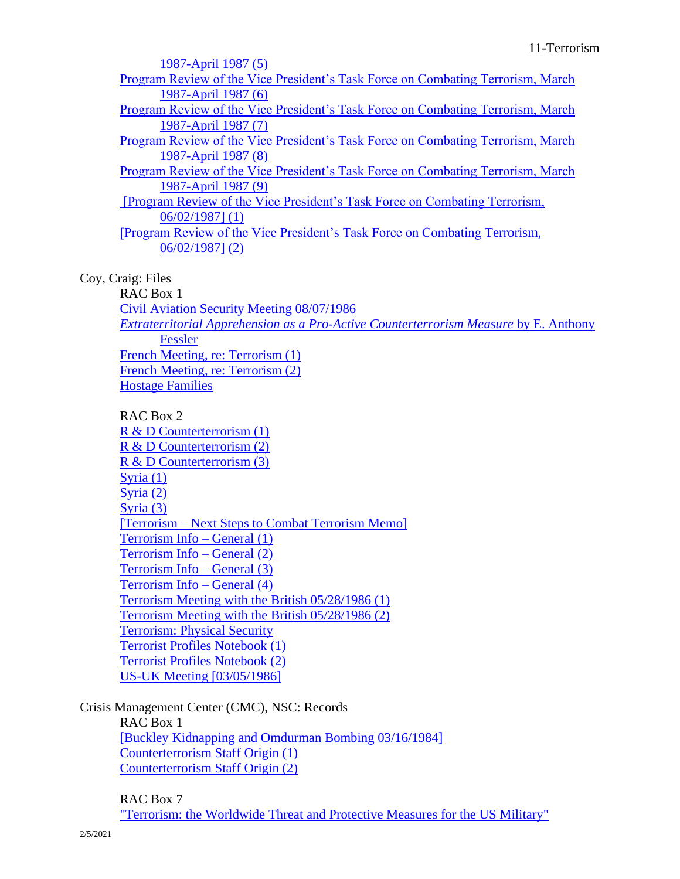| 1987-April 1987 (5)                                                             |  |
|---------------------------------------------------------------------------------|--|
| Program Review of the Vice President's Task Force on Combating Terrorism, March |  |
| 1987-April 1987 (6)                                                             |  |
| Program Review of the Vice President's Task Force on Combating Terrorism, March |  |
| 1987-April 1987 (7)                                                             |  |
| Program Review of the Vice President's Task Force on Combating Terrorism, March |  |
| 1987-April 1987 (8)                                                             |  |
| Program Review of the Vice President's Task Force on Combating Terrorism, March |  |
| 1987-April 1987 (9)                                                             |  |
| [Program Review of the Vice President's Task Force on Combating Terrorism,      |  |
| $06/02/1987$ (1)                                                                |  |
| [Program Review of the Vice President's Task Force on Combating Terrorism,      |  |
| $06/02/1987$ ] (2)                                                              |  |
|                                                                                 |  |

## Coy, Craig: Files

RAC Box 1 [Civil Aviation Security Meeting 08/07/1986](https://www.reaganlibrary.gov/public/digitallibrary/smof/counterterrorism/craig/r1/civilaviationsecuritymeeting.pdf) *[Extraterritorial Apprehension as a Pro-Active Counterterrorism Measure](https://www.reaganlibrary.gov/public/digitallibrary/smof/counterterrorism/craig/r1/extraterritorialapprehenstion.pdf)* by E. Anthony [Fessler](https://www.reaganlibrary.gov/public/digitallibrary/smof/counterterrorism/craig/r1/extraterritorialapprehenstion.pdf) [French Meeting, re: Terrorism \(1\)](https://www.reaganlibrary.gov/public/digitallibrary/smof/counterterrorism/craig/r1/frenchmeetingreterrorism1.pdf) French Meeting, [re: Terrorism \(2\)](https://www.reaganlibrary.gov/public/digitallibrary/smof/counterterrorism/craig/r1/frenchmeetingreterrorism2.pdf) [Hostage Families](https://www.reaganlibrary.gov/public/digitallibrary/smof/counterterrorism/craig/r1/hostagefamilies.pdf)

## RAC Box 2

[R & D Counterterrorism \(1\)](https://www.reaganlibrary.gov/public/digitallibrary/smof/counterterrorism/craig/r2/randdcounterterrorism1.pdf) [R & D Counterterrorism \(2\)](https://www.reaganlibrary.gov/public/digitallibrary/smof/counterterrorism/craig/r2/randdcounterterrorism2.pdf) [R & D Counterterrorism \(3\)](https://www.reaganlibrary.gov/public/digitallibrary/smof/counterterrorism/craig/r2/randdcounterterrorism3.pdf) [Syria \(1\)](https://www.reaganlibrary.gov/public/digitallibrary/smof/counterterrorism/craig/r2/syria1.pdf) [Syria \(2\)](https://www.reaganlibrary.gov/public/digitallibrary/smof/counterterrorism/craig/r2/syria2.pdf) [Syria \(3\)](https://www.reaganlibrary.gov/public/digitallibrary/smof/counterterrorism/craig/r2/syria3.pdf) [Terrorism – [Next Steps to Combat Terrorism Memo\]](https://www.reaganlibrary.gov/public/digitallibrary/smof/counterterrorism/craig/r2/terrorism-nextstepstocombatterrorism.pdf) [Terrorism Info –](https://www.reaganlibrary.gov/public/digitallibrary/smof/counterterrorism/craig/r2/terrorisminfo-general1.pdf) General (1) [Terrorism Info –](https://www.reaganlibrary.gov/public/digitallibrary/smof/counterterrorism/craig/r2/terrorisminfo-general2.pdf) General (2) [Terrorism Info –](https://www.reaganlibrary.gov/public/digitallibrary/smof/counterterrorism/craig/r2/terrorisminfo-general3.pdf) General (3) [Terrorism Info –](https://www.reaganlibrary.gov/public/digitallibrary/smof/counterterrorism/craig/r2/terrorisminfo-general4.pdf) General (4) Terrorism Meeting with the [British 05/28/1986 \(1\)](https://www.reaganlibrary.gov/public/digitallibrary/smof/counterterrorism/craig/r2/terrorismmeeting5281986-1.pdf) [Terrorism Meeting with the British 05/28/1986 \(2\)](https://www.reaganlibrary.gov/public/digitallibrary/smof/counterterrorism/craig/r2/terrorismmeeting5281986-2.pdf) Terrorism: [Physical Security](https://www.reaganlibrary.gov/public/digitallibrary/smof/counterterrorism/craig/r2/terrorismphysicalsecurity.pdf) [Terrorist Profiles Notebook \(1\)](https://www.reaganlibrary.gov/public/digitallibrary/smof/counterterrorism/craig/r2/terroristprofilenotebooks-1.pdf) [Terrorist Profiles Notebook \(2\)](https://www.reaganlibrary.gov/public/digitallibrary/smof/counterterrorism/craig/r2/terroristprofilenotebooks-2.pdf) [US-UK Meeting \[03/05/1986\]](https://www.reaganlibrary.gov/public/digitallibrary/smof/counterterrorism/craig/r2/us-ukmeeting351986.pdf)

Crisis Management Center (CMC), NSC: Records RAC Box 1 [\[Buckley Kidnapping and Omdurman Bombing 03/16/1984\]](https://www.reaganlibrary.gov/public/digitallibrary/smof/nsc-cmc/r1/buckleykidnapping.pdf) [Counterterrorism Staff Origin \(1\)](https://www.reaganlibrary.gov/public/digitallibrary/smof/nsc-cmc/r1/counterterrorismstafforigins1.pdf) [Counterterrorism Staff Origin \(2\)](https://www.reaganlibrary.gov/public/digitallibrary/smof/nsc-cmc/r1/counterterrorismstafforigins2.pdf)

## RAC Box 7

["Terrorism: the Worldwide Threat and Protective Measures for the US Military"](https://www.reaganlibrary.gov/public/digitallibrary/smof/nsc-cmc/r7/terrorism-theworldwidethreat.pdf)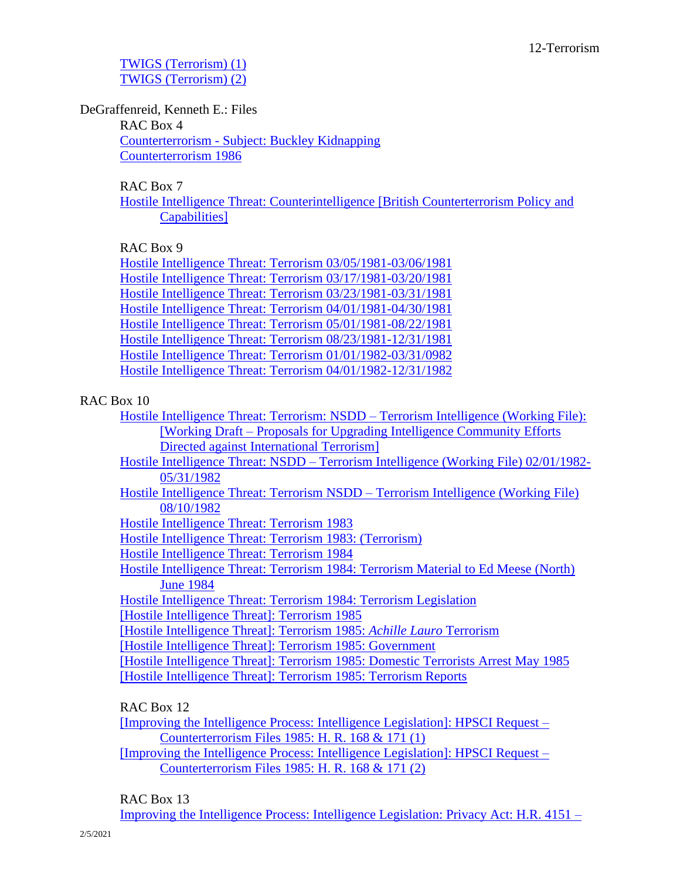[TWIGS \(Terrorism\) \(1\)](https://www.reaganlibrary.gov/public/digitallibrary/smof/nsc-cmc/r7/twigs-terrorism1.pdf) [TWIGS \(Terrorism\) \(2\)](https://www.reaganlibrary.gov/public/digitallibrary/smof/nsc-cmc/r7/twigs-terrorism2.pdf)

DeGraffenreid, Kenneth E.: Files

RAC Box 4 Counterterrorism - [Subject: Buckley Kidnapping](https://www.reaganlibrary.gov/public/digitallibrary/smof/nscintelligence/degraffenreid/r4/40-139-39149351-R4-013-2019.pdf) [Counterterrorism 1986](https://www.reaganlibrary.gov/public/digitallibrary/smof/nscintelligence/degraffenreid/r4/40-139-39149351-R4-014-2019.pdf)

RAC Box 7

[Hostile Intelligence Threat: Counterintelligence \[British Counterterrorism Policy and](https://www.reaganlibrary.gov/public/digitallibrary/smof/nscintelligence/degraffenreid/r7/40-139-39149351-R7-042-2019.pdf)  [Capabilities\]](https://www.reaganlibrary.gov/public/digitallibrary/smof/nscintelligence/degraffenreid/r7/40-139-39149351-R7-042-2019.pdf)

RAC Box 9

[Hostile Intelligence Threat: Terrorism 03/05/1981-03/06/1981](https://www.reaganlibrary.gov/public/digitallibrary/smof/nscintelligence/degraffenreid/r9/40-139-39149351-R9-036-2019.pdf) [Hostile Intelligence Threat: Terrorism 03/17/1981-03/20/1981](https://www.reaganlibrary.gov/public/digitallibrary/smof/nscintelligence/degraffenreid/r9/40-139-39149351-R9-037-2019.pdf) [Hostile Intelligence Threat: Terrorism 03/23/1981-03/31/1981](https://www.reaganlibrary.gov/public/digitallibrary/smof/nscintelligence/degraffenreid/r9/40-139-39149351-R9-038-2019.pdf) [Hostile Intelligence Threat: Terrorism 04/01/1981-04/30/1981](https://www.reaganlibrary.gov/public/digitallibrary/smof/nscintelligence/degraffenreid/r9/40-139-39149351-R9-039-2019.pdf) [Hostile Intelligence Threat: Terrorism 05/01/1981-08/22/1981](https://www.reaganlibrary.gov/public/digitallibrary/smof/nscintelligence/degraffenreid/r9/40-139-39149351-R9-040-2019.pdf) [Hostile Intelligence Threat: Terrorism 08/23/1981-12/31/1981](https://www.reaganlibrary.gov/public/digitallibrary/smof/nscintelligence/degraffenreid/r9/40-139-39149351-R9-041-2019.pdf) [Hostile Intelligence Threat: Terrorism 01/01/1982-03/31/0982](https://www.reaganlibrary.gov/public/digitallibrary/smof/nscintelligence/degraffenreid/r9/40-139-39149351-R9-042-2019.pdf) [Hostile Intelligence Threat: Terrorism 04/01/1982-12/31/1982](https://www.reaganlibrary.gov/public/digitallibrary/smof/nscintelligence/degraffenreid/r9/40-139-39149351-R9-043-2019.pdf)

## RAC Box 10

| Hostile Intelligence Threat: Terrorism: NSDD – Terrorism Intelligence (Working File):          |  |
|------------------------------------------------------------------------------------------------|--|
| [Working Draft – Proposals for Upgrading Intelligence Community Efforts]                       |  |
| Directed against International Terrorism                                                       |  |
| Hostile Intelligence Threat: $NSDD = \text{Terroring Intelligence (Working File) } 02/01/1982$ |  |

Hostile Intelligence Threat: NSDD – [Terrorism Intelligence \(Working File\) 02/01/1982-](https://www.reaganlibrary.gov/public/digitallibrary/smof/nscintelligence/degraffenreid/r10/40-139-39149351-R10-002-2019.pdf) [05/31/1982](https://www.reaganlibrary.gov/public/digitallibrary/smof/nscintelligence/degraffenreid/r10/40-139-39149351-R10-002-2019.pdf)

[Hostile Intelligence Threat: Terrorism NSDD –](https://www.reaganlibrary.gov/public/digitallibrary/smof/nscintelligence/degraffenreid/r10/40-139-39149351-R10-003-2019.pdf) Terrorism Intelligence (Working File) [08/10/1982](https://www.reaganlibrary.gov/public/digitallibrary/smof/nscintelligence/degraffenreid/r10/40-139-39149351-R10-003-2019.pdf)

[Hostile Intelligence Threat: Terrorism 1983](https://www.reaganlibrary.gov/public/digitallibrary/smof/nscintelligence/degraffenreid/r10/40-139-39149351-R10-004-2019.pdf)

[Hostile Intelligence Threat: Terrorism 1983: \(Terrorism\)](https://www.reaganlibrary.gov/public/digitallibrary/smof/nscintelligence/degraffenreid/r10/40-139-39149351-R10-005-2019.pdf)

[Hostile Intelligence Threat: Terrorism 1984](https://www.reaganlibrary.gov/public/digitallibrary/smof/nscintelligence/degraffenreid/r10/40-139-39149351-R10-006-2019.pdf)

[Hostile Intelligence Threat: Terrorism 1984: Terrorism Material to Ed Meese \(North\)](https://www.reaganlibrary.gov/public/digitallibrary/smof/nscintelligence/degraffenreid/r10/40-139-39149351-R10-007-2019.pdf)  [June 1984](https://www.reaganlibrary.gov/public/digitallibrary/smof/nscintelligence/degraffenreid/r10/40-139-39149351-R10-007-2019.pdf)

[Hostile Intelligence Threat: Terrorism 1984: Terrorism Legislation](https://www.reaganlibrary.gov/public/digitallibrary/smof/nscintelligence/degraffenreid/r10/40-139-39149351-R10-008-2019.pdf)

[\[Hostile Intelligence Threat\]: Terrorism 1985](https://www.reaganlibrary.gov/public/digitallibrary/smof/nscintelligence/degraffenreid/r10/40-139-39149351-R10-009-2019.pdf)

[\[Hostile Intelligence Threat\]: Terrorism 1985:](https://www.reaganlibrary.gov/public/digitallibrary/smof/nscintelligence/degraffenreid/r10/40-139-39149351-R10-010-2019.pdf) *Achille Lauro* Terrorism

[\[Hostile Intelligence Threat\]: Terrorism 1985: Government](https://www.reaganlibrary.gov/public/digitallibrary/smof/nscintelligence/degraffenreid/r10/40-139-39149351-R10-011-2019.pdf)

[\[Hostile Intelligence Threat\]: Terrorism 1985: Domestic Terrorists Arrest May 1985](https://www.reaganlibrary.gov/public/digitallibrary/smof/nscintelligence/degraffenreid/r10/40-139-39149351-R10-012-2019.pdf) [\[Hostile Intelligence Threat\]: Terrorism 1985: Terrorism Reports](https://www.reaganlibrary.gov/public/digitallibrary/smof/nscintelligence/degraffenreid/r10/40-139-39149351-R10-013-2019.pdf)

RAC Box 12

[\[Improving the Intelligence Process: Intelligence Legislation\]: HPSCI Request –](https://www.reaganlibrary.gov/public/digitallibrary/smof/nscintelligence/degraffenreid/r12/40-139-39149351-R12-033-2019.pdf) [Counterterrorism Files 1985: H. R. 168 & 171 \(1\)](https://www.reaganlibrary.gov/public/digitallibrary/smof/nscintelligence/degraffenreid/r12/40-139-39149351-R12-033-2019.pdf)

[\[Improving the Intelligence Process: Intelligence Legislation\]: HPSCI Request –](https://www.reaganlibrary.gov/public/digitallibrary/smof/nscintelligence/degraffenreid/r12/40-139-39149351-R12-034-2019.pdf) [Counterterrorism Files 1985: H. R. 168 & 171 \(2\)](https://www.reaganlibrary.gov/public/digitallibrary/smof/nscintelligence/degraffenreid/r12/40-139-39149351-R12-034-2019.pdf)

## RAC Box 13

[Improving the Intelligence Process: Intelligence Legislation: Privacy Act: H.R. 4151 –](https://www.reaganlibrary.gov/public/digitallibrary/smof/nscintelligence/degraffenreid/r13/40-139-39149351-R13-006-2019.pdf)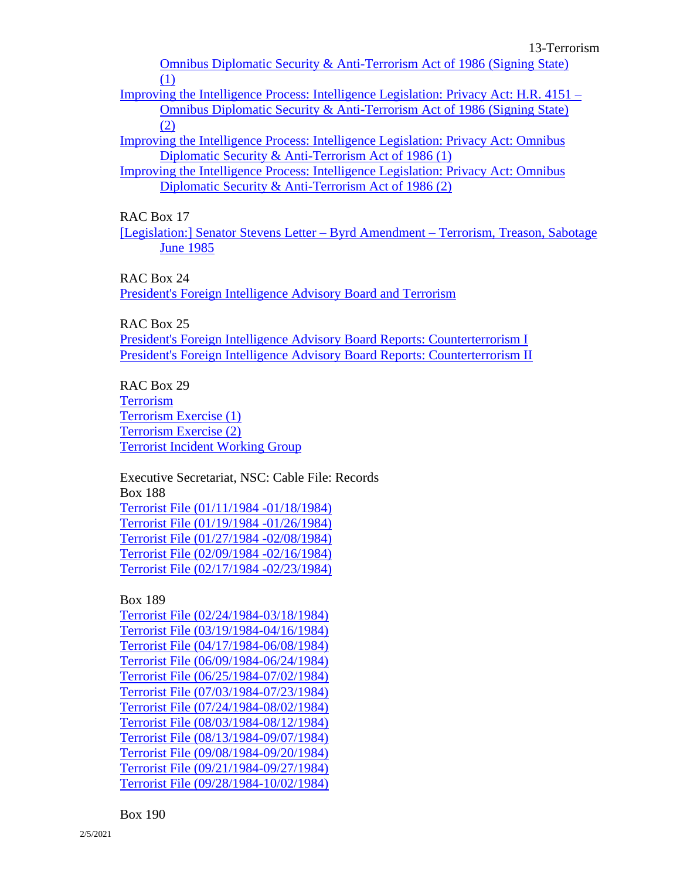[Omnibus Diplomatic Security & Anti-Terrorism Act of 1986 \(Signing State\)](https://www.reaganlibrary.gov/public/digitallibrary/smof/nscintelligence/degraffenreid/r13/40-139-39149351-R13-006-2019.pdf)  [\(1\)](https://www.reaganlibrary.gov/public/digitallibrary/smof/nscintelligence/degraffenreid/r13/40-139-39149351-R13-006-2019.pdf)

[Improving the Intelligence Process: Intelligence Legislation: Privacy Act: H.R. 4151 –](https://www.reaganlibrary.gov/public/digitallibrary/smof/nscintelligence/degraffenreid/r13/40-139-39149351-R13-007-2019.pdf) [Omnibus Diplomatic Security & Anti-Terrorism Act of 1986 \(Signing State\)](https://www.reaganlibrary.gov/public/digitallibrary/smof/nscintelligence/degraffenreid/r13/40-139-39149351-R13-007-2019.pdf)  [\(2\)](https://www.reaganlibrary.gov/public/digitallibrary/smof/nscintelligence/degraffenreid/r13/40-139-39149351-R13-007-2019.pdf)

[Improving the Intelligence Process: Intelligence Legislation: Privacy Act: Omnibus](https://www.reaganlibrary.gov/public/digitallibrary/smof/nscintelligence/degraffenreid/r13/40-139-39149351-R13-009-2019.pdf)  [Diplomatic Security & Anti-Terrorism Act of 1986 \(1\)](https://www.reaganlibrary.gov/public/digitallibrary/smof/nscintelligence/degraffenreid/r13/40-139-39149351-R13-009-2019.pdf)

[Improving the Intelligence Process: Intelligence Legislation: Privacy Act: Omnibus](https://www.reaganlibrary.gov/public/digitallibrary/smof/nscintelligence/degraffenreid/r13/40-139-39149351-R13-010-2019.pdf)  [Diplomatic Security & Anti-Terrorism Act of 1986 \(2\)](https://www.reaganlibrary.gov/public/digitallibrary/smof/nscintelligence/degraffenreid/r13/40-139-39149351-R13-010-2019.pdf)

RAC Box 17

[\[Legislation:\] Senator Stevens Letter –](https://www.reaganlibrary.gov/public/digitallibrary/smof/nscintelligence/degraffenreid/r17/40-139-39149351-R17-035-2019.pdf) Byrd Amendment – Terrorism, Treason, Sabotage [June 1985](https://www.reaganlibrary.gov/public/digitallibrary/smof/nscintelligence/degraffenreid/r17/40-139-39149351-R17-035-2019.pdf)

RAC Box 24

[President's Foreign Intelligence Advisory Board and Terrorism](https://www.reaganlibrary.gov/public/digitallibrary/smof/nscintelligence/degraffenreid/r24/40-139-39149351-R24-019-2019.pdf)

RAC Box 25

[President's Foreign Intelligence Advisory Board Reports: Counterterrorism I](https://www.reaganlibrary.gov/public/digitallibrary/smof/nscintelligence/degraffenreid/r25/40-139-39149351-R25-007-2019.pdf) [President's Foreign Intelligence Advisory Board Reports: Counterterrorism II](https://www.reaganlibrary.gov/public/digitallibrary/smof/nscintelligence/degraffenreid/r25/40-139-39149351-R25-008-2019.pdf)

RAC Box 29 [Terrorism](https://www.reaganlibrary.gov/public/digitallibrary/smof/nscintelligence/degraffenreid/r29/40-139-39149351-R29-028-2019.pdf) [Terrorism Exercise \(1\)](https://www.reaganlibrary.gov/public/digitallibrary/smof/nscintelligence/degraffenreid/r29/40-139-39149351-R29-029-2019.pdf) [Terrorism Exercise \(2\)](https://www.reaganlibrary.gov/public/digitallibrary/smof/nscintelligence/degraffenreid/r29/40-139-39149351-R29-030-2019.pdf) [Terrorist Incident Working Group](https://www.reaganlibrary.gov/public/digitallibrary/smof/nscintelligence/degraffenreid/r29/40-139-39149351-R29-031-2019.pdf)

Executive Secretariat, NSC: Cable File: Records Box 188 [Terrorist File \(01/11/1984 -01/18/1984\)](https://www.reaganlibrary.gov/public/digitallibrary/smof/execseccablefiles/box-188/40-767-12025073-188-021-2018.pdf) [Terrorist File \(01/19/1984 -01/26/1984\)](https://www.reaganlibrary.gov/public/digitallibrary/smof/execseccablefiles/box-188/40-767-12025073-188-022-2018.pdf) [Terrorist File \(01/27/1984 -02/08/1984\)](https://www.reaganlibrary.gov/public/digitallibrary/smof/execseccablefiles/box-188/40-767-12025073-188-023-2018.pdf) [Terrorist File \(02/09/1984 -02/16/1984\)](https://www.reaganlibrary.gov/public/digitallibrary/smof/execseccablefiles/box-188/40-767-12025073-188-024-2018.pdf) [Terrorist File \(02/17/1984 -02/23/1984\)](https://www.reaganlibrary.gov/public/digitallibrary/smof/execseccablefiles/box-188/40-767-12025073-188-025-2018.pdf)

Box 189

Terrorist File [\(02/24/1984-03/18/1984\)](https://www.reaganlibrary.gov/public/digitallibrary/smof/execseccablefiles/box-189/40-767-12025073-189-001-2018.pdf) [Terrorist File \(03/19/1984-04/16/1984\)](https://www.reaganlibrary.gov/public/digitallibrary/smof/execseccablefiles/box-189/40-767-12025073-189-002-2018.pdf) [Terrorist File \(04/17/1984-06/08/1984\)](https://www.reaganlibrary.gov/public/digitallibrary/smof/execseccablefiles/box-189/40-767-12025073-189-003-2018.pdf) [Terrorist File \(06/09/1984-06/24/1984\)](https://www.reaganlibrary.gov/public/digitallibrary/smof/execseccablefiles/box-189/40-767-12025073-189-004-2018.pdf) [Terrorist File \(06/25/1984-07/02/1984\)](https://www.reaganlibrary.gov/public/digitallibrary/smof/execseccablefiles/box-189/40-767-12025073-189-005-2018.pdf) [Terrorist File \(07/03/1984-07/23/1984\)](https://www.reaganlibrary.gov/public/digitallibrary/smof/execseccablefiles/box-189/40-767-12025073-189-006-2018.pdf) [Terrorist File \(07/24/1984-08/02/1984\)](https://www.reaganlibrary.gov/public/digitallibrary/smof/execseccablefiles/box-189/40-767-12025073-189-007-2018.pdf) [Terrorist File \(08/03/1984-08/12/1984\)](https://www.reaganlibrary.gov/public/digitallibrary/smof/execseccablefiles/box-189/40-767-12025073-189-008-2018.pdf) [Terrorist File \(08/13/1984-09/07/1984\)](https://www.reaganlibrary.gov/public/digitallibrary/smof/execseccablefiles/box-189/40-767-12025073-189-009-2018.pdf) [Terrorist File \(09/08/1984-09/20/1984\)](https://www.reaganlibrary.gov/public/digitallibrary/smof/execseccablefiles/box-189/40-767-12025073-189-010-2018.pdf) [Terrorist File \(09/21/1984-09/27/1984\)](https://www.reaganlibrary.gov/public/digitallibrary/smof/execseccablefiles/box-189/40-767-12025073-189-011-2018.pdf) [Terrorist File \(09/28/1984-10/02/1984\)](https://www.reaganlibrary.gov/public/digitallibrary/smof/execseccablefiles/box-189/40-767-12025073-189-012-2018.pdf)

Box 190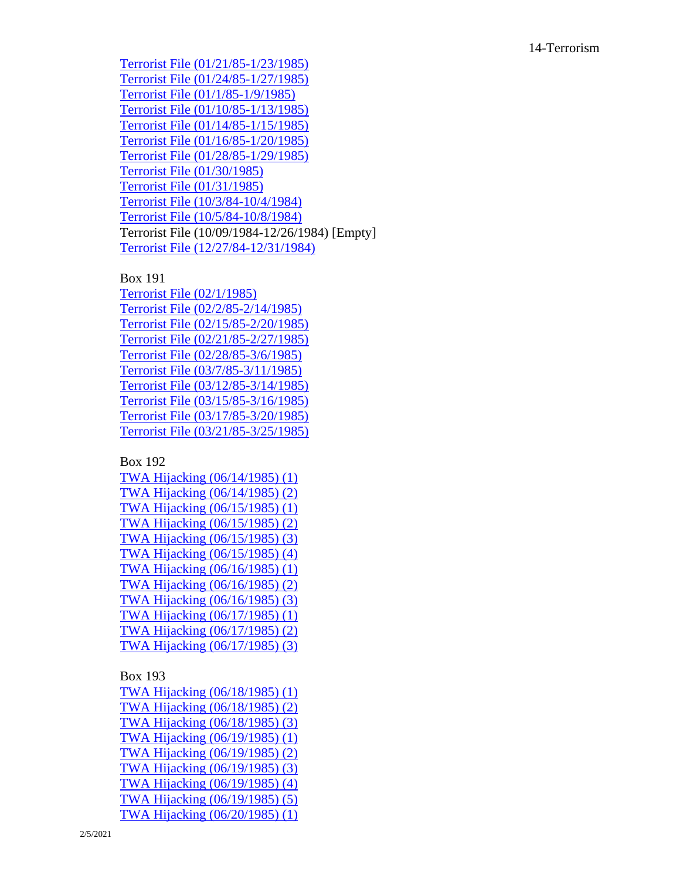[Terrorist File \(01/21/85](https://www.reaganlibrary.gov/public/digitallibrary/smof/execseccablefiles/box-190/40-767-12025073-190-008-2018.pdf) -1/23/1985) [Terrorist File \(01/24/85](https://www.reaganlibrary.gov/public/digitallibrary/smof/execseccablefiles/box-190/40-767-12025073-190-009-2018.pdf) -1/27/1985) [Terrorist File \(01/1/85](https://www.reaganlibrary.gov/public/digitallibrary/smof/execseccablefiles/box-190/40-767-12025073-190-004-2018.pdf) -1/9/1985) [Terrorist File \(01/10/85](https://www.reaganlibrary.gov/public/digitallibrary/smof/execseccablefiles/box-190/40-767-12025073-190-005-2018.pdf) -1/13/1985) [Terrorist File \(01/14/85](https://www.reaganlibrary.gov/public/digitallibrary/smof/execseccablefiles/box-190/40-767-12025073-190-006-2018.pdf) -1/15/1985) [Terrorist File \(01/16/85](https://www.reaganlibrary.gov/public/digitallibrary/smof/execseccablefiles/box-190/40-767-12025073-190-007-2018.pdf) -1/20/1985) [Terrorist File \(01/28/85](https://www.reaganlibrary.gov/public/digitallibrary/smof/execseccablefiles/box-190/40-767-12025073-190-010-2018.pdf) -1/29/1985) [Terrorist File \(01/30/1985\)](https://www.reaganlibrary.gov/public/digitallibrary/smof/execseccablefiles/box-190/40-767-12025073-190-011-2018.pdf) [Terrorist File \(01/31/1985\)](https://www.reaganlibrary.gov/public/digitallibrary/smof/execseccablefiles/box-190/40-767-12025073-190-012-2018.pdf) [Terrorist File \(10/3/84](https://www.reaganlibrary.gov/public/digitallibrary/smof/execseccablefiles/box-190/40-767-12025073-190-001-2018.pdf) -10/4/1984) [Terrorist File \(10/5/84](https://www.reaganlibrary.gov/public/digitallibrary/smof/execseccablefiles/box-190/40-767-12025073-190-002-2018.pdf) -10/8/1984) Terrorist File (10/09/1984 -12/26/1984) [Empty] [Terrorist File \(12/27/84](https://www.reaganlibrary.gov/public/digitallibrary/smof/execseccablefiles/box-190/40-767-12025073-190-003-2018.pdf) -12/31/1984)

#### Box 191

[Terrorist File \(02/1/1985\)](https://www.reaganlibrary.gov/public/digitallibrary/smof/execseccablefiles/box-191/40-767-12025073-191-001-2018.pdf) [Terrorist File \(02/2/85](https://www.reaganlibrary.gov/public/digitallibrary/smof/execseccablefiles/box-191/40-767-12025073-191-002-2018.pdf) -2/14/1985) [Terrorist File \(02/15/85](https://www.reaganlibrary.gov/public/digitallibrary/smof/execseccablefiles/box-191/40-767-12025073-191-003-2018.pdf) -2/20/1985) [Terrorist File \(02/21/85](https://www.reaganlibrary.gov/public/digitallibrary/smof/execseccablefiles/box-191/40-767-12025073-191-004-2018.pdf) -2/27/1985) [Terrorist File \(02/28/85](https://www.reaganlibrary.gov/public/digitallibrary/smof/execseccablefiles/box-191/40-767-12025073-191-005-2018.pdf) -3/6/1985) [Terrorist File \(03/7/85](https://www.reaganlibrary.gov/public/digitallibrary/smof/execseccablefiles/box-191/40-767-12025073-191-006-2018.pdf) -3/11/1985) [Terrorist File \(03/12/85](https://www.reaganlibrary.gov/public/digitallibrary/smof/execseccablefiles/box-191/40-767-12025073-191-007-2018.pdf) -3/14/1985) [Terrorist File \(03/15/85](https://www.reaganlibrary.gov/public/digitallibrary/smof/execseccablefiles/box-191/40-767-12025073-191-008-2018.pdf) -3/16/1985) [Terrorist File \(03/17/85](https://www.reaganlibrary.gov/public/digitallibrary/smof/execseccablefiles/box-191/40-767-12025073-191-009-2018.pdf) -3/20/1985) [Terrorist File \(03/21/85](https://www.reaganlibrary.gov/public/digitallibrary/smof/execseccablefiles/box-191/40-767-12025073-191-010-2018.pdf) -3/25/1985)

## Box 192

[TWA Hijacking \(06/14/1985\) \(1\)](https://www.reaganlibrary.gov/public/digitallibrary/smof/execseccablefiles/box-192/40-767-12025073-192-001-2017.pdf) [TWA Hijacking \(06/14/1985\) \(2\)](https://www.reaganlibrary.gov/public/digitallibrary/smof/execseccablefiles/box-192/40-767-12025073-192-002-2017.pdf) [TWA Hijacking \(06/15/1985\) \(1\)](https://www.reaganlibrary.gov/public/digitallibrary/smof/execseccablefiles/box-192/40-767-12025073-192-003-2017.pdf) [TWA Hijacking \(06/15/1985\) \(2\)](https://www.reaganlibrary.gov/public/digitallibrary/smof/execseccablefiles/box-192/40-767-12025073-192-004-2017.pdf) [TWA Hijacking \(06/15/1985\) \(3\)](https://www.reaganlibrary.gov/public/digitallibrary/smof/execseccablefiles/box-192/40-767-12025073-192-005-2017.pdf) [TWA Hijacking \(06/15/1985\) \(4\)](https://www.reaganlibrary.gov/public/digitallibrary/smof/execseccablefiles/box-192/40-767-12025073-192-006-2017.pdf) [TWA Hijacking \(06/16/1985\) \(1\)](https://www.reaganlibrary.gov/public/digitallibrary/smof/execseccablefiles/box-192/40-767-12025073-192-007-2017.pdf) [TWA Hijacking \(06/16/1985\) \(2\)](https://www.reaganlibrary.gov/public/digitallibrary/smof/execseccablefiles/box-192/40-767-12025073-192-008-2017.pdf) [TWA Hijacking \(06/16/1985\) \(3\)](https://www.reaganlibrary.gov/public/digitallibrary/smof/execseccablefiles/box-192/40-767-12025073-192-009-2017.pdf) [TWA Hijacking \(06/17/1985\) \(1\)](https://www.reaganlibrary.gov/public/digitallibrary/smof/execseccablefiles/box-192/40-767-12025073-192-010-2017.pdf) [TWA Hijacking \(06/17/1985\) \(2\)](https://www.reaganlibrary.gov/public/digitallibrary/smof/execseccablefiles/box-192/40-767-12025073-192-011-2017.pdf) [TWA Hijacking \(06/17/1985\) \(3\)](https://www.reaganlibrary.gov/public/digitallibrary/smof/execseccablefiles/box-192/40-767-12025073-192-012-2017.pdf)

#### Box 193

[TWA Hijacking \(06/18/1985\) \(1\)](https://www.reaganlibrary.gov/public/digitallibrary/smof/execseccablefiles/box-193/40-767-12025073-193-001-2018.pdf) [TWA Hijacking \(06/18/1985\) \(2\)](https://www.reaganlibrary.gov/public/digitallibrary/smof/execseccablefiles/box-193/40-767-12025073-193-002-2018.pdf) [TWA Hijacking \(06/18/1985\) \(3\)](https://www.reaganlibrary.gov/public/digitallibrary/smof/execseccablefiles/box-193/40-767-12025073-193-003-2018.pdf) [TWA Hijacking \(06/19/1985\) \(1\)](https://www.reaganlibrary.gov/public/digitallibrary/smof/execseccablefiles/box-193/40-767-12025073-193-004-2018.pdf) [TWA Hijacking \(06/19/1985\) \(2\)](https://www.reaganlibrary.gov/public/digitallibrary/smof/execseccablefiles/box-193/40-767-12025073-193-005-2018.pdf) [TWA Hijacking \(06/19/1985\) \(3\)](https://www.reaganlibrary.gov/public/digitallibrary/smof/execseccablefiles/box-193/40-767-12025073-193-006-2018.pdf) [TWA Hijacking \(06/19/1985\) \(4\)](https://www.reaganlibrary.gov/public/digitallibrary/smof/execseccablefiles/box-193/40-767-12025073-193-007-2018.pdf) [TWA Hijacking \(06/19/1985\) \(5\)](https://www.reaganlibrary.gov/public/digitallibrary/smof/execseccablefiles/box-193/40-767-12025073-193-008-2018.pdf) [TWA Hijacking \(06/20/1985\) \(1\)](https://www.reaganlibrary.gov/public/digitallibrary/smof/execseccablefiles/box-193/40-767-12025073-193-009-2018.pdf)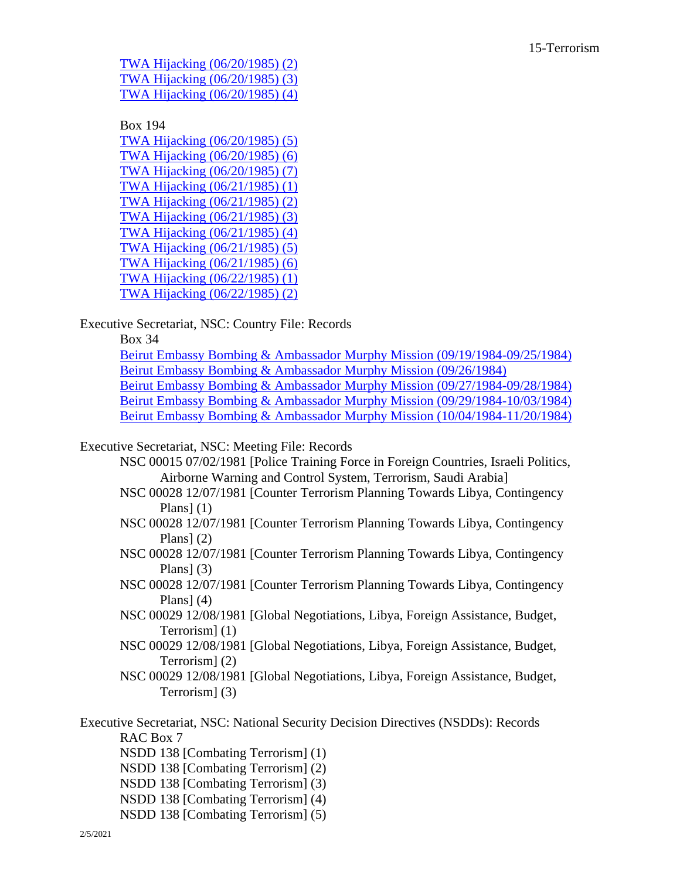[TWA Hijacking \(06/20/1985\) \(2\)](https://www.reaganlibrary.gov/public/digitallibrary/smof/execseccablefiles/box-193/40-767-12025073-193-010-2018.pdf) [TWA Hijacking \(06/20/1985\) \(3\)](https://www.reaganlibrary.gov/public/digitallibrary/smof/execseccablefiles/box-193/40-767-12025073-193-011-2018.pdf) [TWA Hijacking \(06/20/1985\) \(4\)](https://www.reaganlibrary.gov/public/digitallibrary/smof/execseccablefiles/box-193/40-767-12025073-193-012-2018.pdf)

Box 194 [TWA Hijacking \(06/20/1985\) \(5\)](https://www.reaganlibrary.gov/public/digitallibrary/smof/execseccablefiles/box-194/40-767-12025073-194-001-2018.pdf) [TWA Hijacking \(06/20/1985\) \(6\)](https://www.reaganlibrary.gov/public/digitallibrary/smof/execseccablefiles/box-194/40-767-12025073-194-002-2018.pdf) [TWA Hijacking \(06/20/1985\) \(7\)](https://www.reaganlibrary.gov/public/digitallibrary/smof/execseccablefiles/box-194/40-767-12025073-194-003-2018.pdf) [TWA Hijacking \(06/21/1985\) \(1\)](https://www.reaganlibrary.gov/public/digitallibrary/smof/execseccablefiles/box-194/40-767-12025073-194-004-2018.pdf) [TWA Hijacking \(06/21/1985\) \(2\)](https://www.reaganlibrary.gov/public/digitallibrary/smof/execseccablefiles/box-194/40-767-12025073-194-005-2018.pdf) [TWA Hijacking \(06/21/1985\) \(3\)](https://www.reaganlibrary.gov/public/digitallibrary/smof/execseccablefiles/box-194/40-767-12025073-194-006-2018.pdf) [TWA Hijacking \(06/21/1985\) \(4\)](https://www.reaganlibrary.gov/public/digitallibrary/smof/execseccablefiles/box-194/40-767-12025073-194-007-2018.pdf) [TWA Hijacking \(06/21/1985\) \(5\)](https://www.reaganlibrary.gov/public/digitallibrary/smof/execseccablefiles/box-194/40-767-12025073-194-008-2018.pdf) [TWA Hijacking \(06/21/1985\) \(6\)](https://www.reaganlibrary.gov/public/digitallibrary/smof/execseccablefiles/box-194/40-767-12025073-194-009-2018.pdf) [TWA Hijacking \(06/22/1985\) \(1\)](https://www.reaganlibrary.gov/public/digitallibrary/smof/execseccablefiles/box-194/40-767-12025073-194-010-2018.pdf) [TWA Hijacking \(06/22/1985\) \(2\)](https://www.reaganlibrary.gov/public/digitallibrary/smof/execseccablefiles/box-194/40-767-12025073-194-011-2018.pdf)

Executive Secretariat, NSC: Country File: Records

Box 34

[Beirut Embassy Bombing & Ambassador Murphy Mission \(09/19/1984-09/25/1984\)](https://www.reaganlibrary.gov/public/digitallibrary/smof/execsec-country/box-034/40-748-12026383-034-022-2017.pdf) [Beirut Embassy Bombing & Ambassador Murphy Mission \(09/26/1984\)](https://www.reaganlibrary.gov/public/digitallibrary/smof/execsec-country/box-034/40-748-12026383-034-023-2017.pdf) [Beirut Embassy Bombing & Ambassador Murphy Mission \(09/27/1984-09/28/1984\)](https://www.reaganlibrary.gov/public/digitallibrary/smof/execsec-country/box-034/40-748-12026383-034-024-2017.pdf) [Beirut Embassy Bombing & Ambassador Murphy Mission \(09/29/1984-10/03/1984\)](https://www.reaganlibrary.gov/public/digitallibrary/smof/execsec-country/box-034/40-748-12026383-034-025-2017.pdf) [Beirut Embassy Bombing & Ambassador Murphy Mission \(10/04/1984-11/20/1984\)](https://www.reaganlibrary.gov/public/digitallibrary/smof/execsec-country/box-034/40-748-12026383-034-026-2017.pdf)

Executive Secretariat, NSC: Meeting File: Records

- NSC 00015 07/02/1981 [Police Training Force in Foreign Countries, Israeli Politics, Airborne Warning and Control System, Terrorism, Saudi Arabia]
- NSC 00028 12/07/1981 [Counter Terrorism Planning Towards Libya, Contingency Plans]  $(1)$
- NSC 00028 12/07/1981 [Counter Terrorism Planning Towards Libya, Contingency Plans] (2)
- NSC 00028 12/07/1981 [Counter Terrorism Planning Towards Libya, Contingency Plans $(3)$
- NSC 00028 12/07/1981 [Counter Terrorism Planning Towards Libya, Contingency Plans] $(4)$
- NSC 00029 12/08/1981 [Global Negotiations, Libya, Foreign Assistance, Budget, Terrorism] (1)
- NSC 00029 12/08/1981 [Global Negotiations, Libya, Foreign Assistance, Budget, Terrorism] (2)
- NSC 00029 12/08/1981 [Global Negotiations, Libya, Foreign Assistance, Budget, Terrorism] (3)

Executive Secretariat, NSC: National Security Decision Directives (NSDDs): Records RAC Box 7

- NSDD 138 [Combating Terrorism] (1)
- NSDD 138 [Combating Terrorism] (2)
- NSDD 138 [Combating Terrorism] (3)
- NSDD 138 [Combating Terrorism] (4)
- NSDD 138 [Combating Terrorism] (5)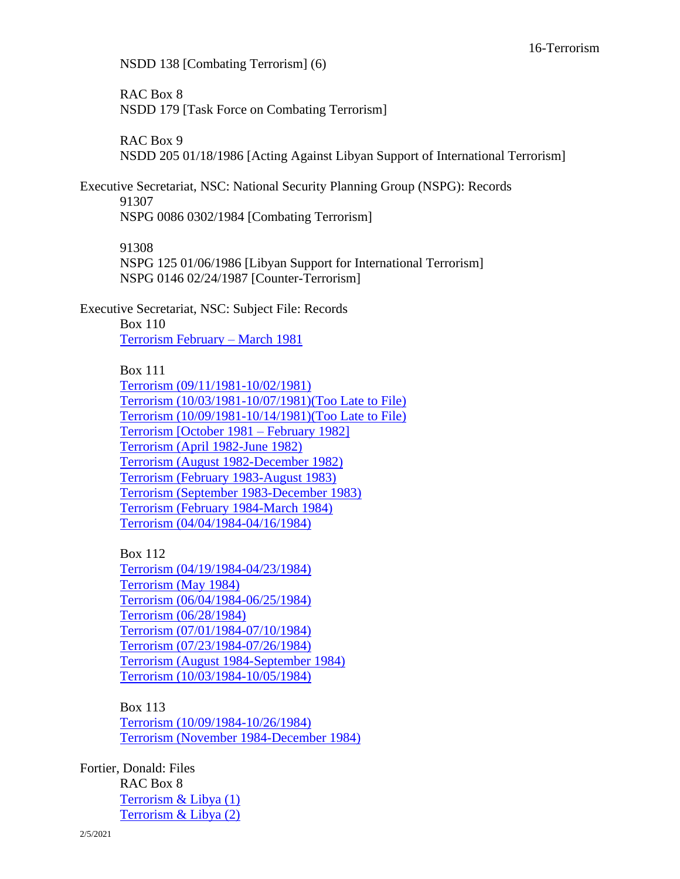NSDD 138 [Combating Terrorism] (6)

RAC Box 8 NSDD 179 [Task Force on Combating Terrorism]

RAC Box 9 NSDD 205 01/18/1986 [Acting Against Libyan Support of International Terrorism]

Executive Secretariat, NSC: National Security Planning Group (NSPG): Records 91307 NSPG 0086 0302/1984 [Combating Terrorism]

91308 NSPG 125 01/06/1986 [Libyan Support for International Terrorism] NSPG 0146 02/24/1987 [Counter-Terrorism]

Executive Secretariat, NSC: Subject File: Records

Box 110 [Terrorism February –](https://www.reaganlibrary.gov/public/digitallibrary/smof/execssecsubject/box-110/40-753-12026365-110-010-2018.pdf) March 1981

Box 111

[Terrorism \(09/11/1981-10/02/1981\)](https://www.reaganlibrary.gov/public/digitallibrary/smof/execssecsubject/Box-111/40-753-12026365-111-001-2017.pdf) [Terrorism \(10/03/1981-10/07/1981\)\(Too Late to File\)](https://www.reaganlibrary.gov/public/digitallibrary/smof/execssecsubject/Box-111/40-753-12026365-111-002-2017.pdf) [Terrorism \(10/09/1981-10/14/1981\)\(Too Late to File\)](https://www.reaganlibrary.gov/public/digitallibrary/smof/execssecsubject/Box-111/40-753-12026365-111-003-2017.pdf) [Terrorism \[October 1981 –](https://www.reaganlibrary.gov/public/digitallibrary/smof/execssecsubject/Box-111/40-753-12026365-111-004-2017.pdf) February 1982] [Terrorism \(April 1982-June 1982\)](https://www.reaganlibrary.gov/public/digitallibrary/smof/execssecsubject/Box-111/40-753-12026365-111-005-2017.pdf) [Terrorism \(August 1982-December 1982\)](https://www.reaganlibrary.gov/public/digitallibrary/smof/execssecsubject/Box-111/40-753-12026365-111-006-2017.pdf) [Terrorism \(February 1983-August 1983\)](https://www.reaganlibrary.gov/public/digitallibrary/smof/execssecsubject/Box-111/40-753-12026365-111-007-2017.pdf) [Terrorism \(September 1983-December 1983\)](https://www.reaganlibrary.gov/public/digitallibrary/smof/execssecsubject/Box-111/40-753-12026365-111-008-2017.pdf) [Terrorism \(February 1984-March 1984\)](https://www.reaganlibrary.gov/public/digitallibrary/smof/execssecsubject/Box-111/40-753-12026365-111-009-2017.pdf) [Terrorism \(04/04/1984-04/16/1984\)](https://www.reaganlibrary.gov/public/digitallibrary/smof/execssecsubject/Box-111/40-753-12026365-111-010-2017.pdf)

Box 112 [Terrorism \(04/19/1984-04/23/1984\)](https://www.reaganlibrary.gov/public/digitallibrary/smof/execssecsubject/box-112/40-753-12026365-112-001-2018.pdf) [Terrorism \(May 1984\)](https://www.reaganlibrary.gov/public/digitallibrary/smof/execssecsubject/box-112/40-753-12026365-112-002-2018.pdf) [Terrorism \(06/04/1984-06/25/1984\)](https://www.reaganlibrary.gov/public/digitallibrary/smof/execssecsubject/box-112/40-753-12026365-112-003-2018.pdf) [Terrorism \(06/28/1984\)](https://www.reaganlibrary.gov/public/digitallibrary/smof/execssecsubject/box-112/40-753-12026365-112-004-2018.pdf) [Terrorism \(07/01/1984-07/10/1984\)](https://www.reaganlibrary.gov/public/digitallibrary/smof/execssecsubject/box-112/40-753-12026365-112-005-2018.pdf) [Terrorism \(07/23/1984-07/26/1984\)](https://www.reaganlibrary.gov/public/digitallibrary/smof/execssecsubject/box-112/40-753-12026365-112-006-2018.pdf) [Terrorism \(August 1984-September 1984\)](https://www.reaganlibrary.gov/public/digitallibrary/smof/execssecsubject/box-112/40-753-12026365-112-007-2018.pdf) [Terrorism \(10/03/1984-10/05/1984\)](https://www.reaganlibrary.gov/public/digitallibrary/smof/execssecsubject/box-112/40-753-12026365-112-008-2018.pdf)

Box 113 [Terrorism \(10/09/1984-10/26/1984\)](https://www.reaganlibrary.gov/public/digitallibrary/smof/execssecsubject/box-113/40-753-12026365-113-001-2018.pdf) [Terrorism \(November 1984-December 1984\)](https://www.reaganlibrary.gov/public/digitallibrary/smof/execssecsubject/box-113/40-753-12026365-113-002-2018.pdf)

Fortier, Donald: Files RAC Box 8 [Terrorism & Libya \(1\)](https://www.reaganlibrary.gov/public/digitallibrary/smof/nsc-politicalandmilitaryaffairs/fortierd/R8/terrorismandlibya1.pdf) [Terrorism & Libya](https://www.reaganlibrary.gov/public/digitallibrary/smof/nsc-politicalandmilitaryaffairs/fortierd/R8/terrorismandlibya2.pdf) (2)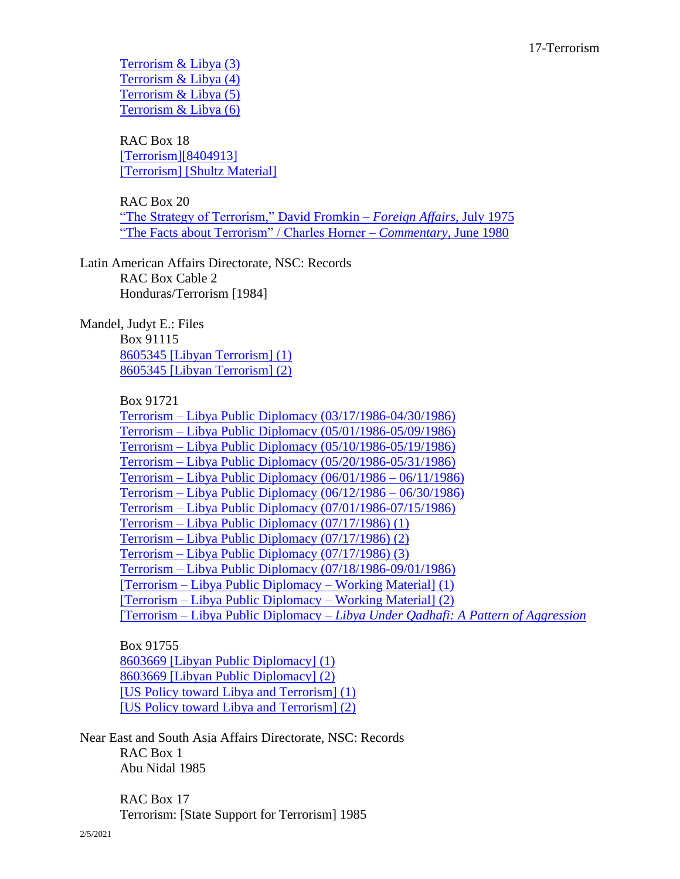[Terrorism & Libya \(3\)](https://www.reaganlibrary.gov/public/digitallibrary/smof/nsc-politicalandmilitaryaffairs/fortierd/R8/terrorismandlibya3.pdf) [Terrorism & Libya \(4\)](https://www.reaganlibrary.gov/public/digitallibrary/smof/nsc-politicalandmilitaryaffairs/fortierd/R8/terrorismandlibya4.pdf) [Terrorism & Libya \(5\)](https://www.reaganlibrary.gov/public/digitallibrary/smof/nsc-politicalandmilitaryaffairs/fortierd/R8/terrorismandlibya5.pdf) [Terrorism & Libya \(6\)](https://www.reaganlibrary.gov/public/digitallibrary/smof/nsc-politicalandmilitaryaffairs/fortierd/R8/terrorismandlibya6.pdf)

RAC Box 18 [\[Terrorism\]\[8404913\]](https://www.reaganlibrary.gov/public/digitallibrary/smof/nsc-politicalandmilitaryaffairs/fortierd/R18/terrorism8404913.pdf) [\[Terrorism\] \[Shultz Material\]](https://www.reaganlibrary.gov/public/digitallibrary/smof/nsc-politicalandmilitaryaffairs/fortierd/R18/terrorism-shultzmaterial.pdf)

RAC Box 20 ["The Strategy of Terrorism,"](https://www.reaganlibrary.gov/public/digitallibrary/smof/nsc-politicalandmilitaryaffairs/fortierd/R20/thestrategyofterrorism.pdf) David Fromkin – *Foreign Affairs*, July 1975 ["The Facts about Terrorism" / Charles Horner –](https://www.reaganlibrary.gov/public/digitallibrary/smof/nsc-politicalandmilitaryaffairs/fortierd/R20/thefactsaboutterrorism.pdf) *Commentary*, June 1980

Latin American Affairs Directorate, NSC: Records RAC Box Cable 2 Honduras/Terrorism [1984]

Mandel, Judyt E.: Files

Box 91115 [8605345 \[Libyan Terrorism\] \(1\)](https://www.reaganlibrary.gov/public/digitallibrary/smof/nsc-communicationsandinformation/mandel/91115/8605345libyanterrorism1.pdf) [8605345 \[Libyan Terrorism\] \(2\)](https://www.reaganlibrary.gov/public/digitallibrary/smof/nsc-communicationsandinformation/mandel/91115/8605345libyanterrorism2.pdf)

Box 91721

Terrorism – [Libya Public Diplomacy \(03/17/1986-04/30/1986\)](https://www.reaganlibrary.gov/public/digitallibrary/smof/nsc-communicationsandinformation/mandel/91721/terrorismlibyapublicdiplomacy3-17-86-4-30-86.pdf) Terrorism – [Libya Public Diplomacy \(05/01/1986-05/09/1986\)](https://www.reaganlibrary.gov/public/digitallibrary/smof/nsc-communicationsandinformation/mandel/91721/terrorismlibyapublicdiplomacy5-1-86-5-9-86.pdf) Terrorism – [Libya Public Diplomacy \(05/10/1986-05/19/1986\)](https://www.reaganlibrary.gov/public/digitallibrary/smof/nsc-communicationsandinformation/mandel/91721/terrorismlibyapublicdiplomacy5-10-86-5-19-86.pdf) Terrorism – [Libya Public Diplomacy \(05/20/1986-05/31/1986\)](https://www.reaganlibrary.gov/public/digitallibrary/smof/nsc-communicationsandinformation/mandel/91721/terrorismlibyapublicdiplomacy5-20-86-5-31-86.pdf) Terrorism – [Libya Public Diplomacy \(06/01/1986 –](https://www.reaganlibrary.gov/public/digitallibrary/smof/nsc-communicationsandinformation/mandel/91721/terrorism-libyapublicdiplomacy6-1-1986-6-11-1986.pdf) 06/11/1986) Terrorism – [Libya Public Diplomacy \(06/12/1986 –](https://www.reaganlibrary.gov/public/digitallibrary/smof/nsc-communicationsandinformation/mandel/91721/terrorismlibyapublicdiplomacy6-12-86-6-30-86.pdf) 06/30/1986) Terrorism – [Libya Public Diplomacy \(07/01/1986-07/15/1986\)](https://www.reaganlibrary.gov/public/digitallibrary/smof/nsc-communicationsandinformation/mandel/91721/terrorismlibyapublicdiplomacy7-1-1986-7-15-1986.pdf) Terrorism – [Libya Public Diplomacy \(07/17/1986\) \(1\)](https://www.reaganlibrary.gov/public/digitallibrary/smof/nsc-communicationsandinformation/mandel/91721/terrorism-libyapublicdiplomacy7-17-1986-1.pdf) Terrorism – [Libya Public Diplomacy \(07/17/1986\) \(2\)](https://www.reaganlibrary.gov/public/digitallibrary/smof/nsc-communicationsandinformation/mandel/91721/terrorism-libyapublicdiplomacy7-17-1986-2.pdf) Terrorism – [Libya Public Diplomacy \(07/17/1986\) \(3\)](https://www.reaganlibrary.gov/public/digitallibrary/smof/nsc-communicationsandinformation/mandel/91721/terrorism-libyapublicdiplomacy7-17-1986-3.pdf) Terrorism – [Libya Public Diplomacy \(07/18/1986-09/01/1986\)](https://www.reaganlibrary.gov/public/digitallibrary/smof/nsc-communicationsandinformation/mandel/91721/terrorism-libyapublicdiplomacy-7-18-1986-9-1-1986.pdf) [Terrorism – [Libya Public Diplomacy –](https://www.reaganlibrary.gov/public/digitallibrary/smof/nsc-communicationsandinformation/mandel/91721/terrorism-libyapublicdiplomacyworkingmaterial1.pdf) Working Material] (1) [Terrorism – [Libya Public Diplomacy –](https://www.reaganlibrary.gov/public/digitallibrary/smof/nsc-communicationsandinformation/mandel/91721/terrorism-libyapublicdiplomacyworkingmaterial2.pdf) Working Material] (2) [Terrorism – Libya Public Diplomacy – *[Libya Under Qadhafi: A Pattern of Aggression](https://www.reaganlibrary.gov/public/digitallibrary/smof/nsc-communicationsandinformation/mandel/91721/libyaunderaqdhafi-apatternofaggression.pdf)*

Box 91755 [8603669 \[Libyan Public Diplomacy\] \(1\)](https://www.reaganlibrary.gov/public/digitallibrary/smof/nsc-communicationsandinformation/mandel/91755/8603669libyanpublicdiplomacy1.pdf) [8603669 \[Libyan Public Diplomacy\] \(2\)](https://www.reaganlibrary.gov/public/digitallibrary/smof/nsc-communicationsandinformation/mandel/91755/8603669libyanpublicdiplomacy2.pdf) [\[US Policy toward Libya](https://www.reaganlibrary.gov/public/digitallibrary/smof/nsc-communicationsandinformation/mandel/91755/uspolicytowardlibya1.pdf) and Terrorism] (1) [\[US Policy toward Libya and Terrorism\] \(2\)](https://www.reaganlibrary.gov/public/digitallibrary/smof/nsc-communicationsandinformation/mandel/91755/uspolicytowardlibya2.pdf)

Near East and South Asia Affairs Directorate, NSC: Records RAC Box 1 Abu Nidal 1985

> RAC Box 17 Terrorism: [State Support for Terrorism] 1985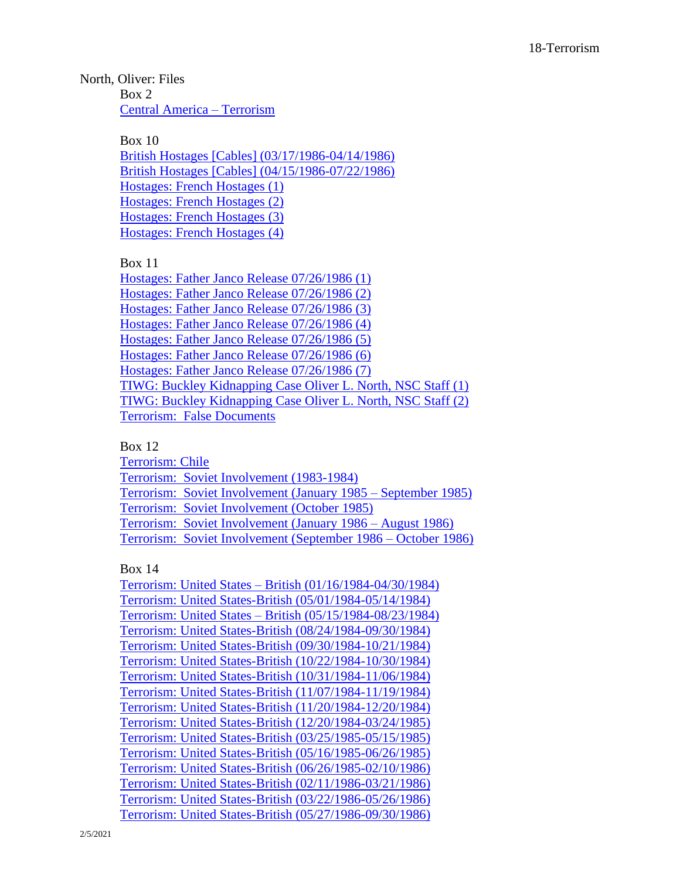North, Oliver: Files Box 2 [Central America –](https://www.reaganlibrary.gov/public/digitallibrary/smof/nsc-politicalandmilitaryaffairs/north/box-002/40-633-1201554-002-001-2017.pdf) Terrorism

> Box 10 [British Hostages \[Cables\] \(03/17/1986-04/14/1986\)](https://www.reaganlibrary.gov/public/digitallibrary/smof/nsc-politicalandmilitaryaffairs/north/box-010/40-633-1201554-010-001-2017.pdf) [British Hostages \[Cables\] \(04/15/1986-07/22/1986\)](https://www.reaganlibrary.gov/public/digitallibrary/smof/nsc-politicalandmilitaryaffairs/north/box-010/40-633-1201554-010-002-2017.pdf) [Hostages: French Hostages \(1\)](https://www.reaganlibrary.gov/public/digitallibrary/smof/nsc-politicalandmilitaryaffairs/north/box-010/40-633-1201554-010-003-2017.pdf) [Hostages: French Hostages \(2\)](https://www.reaganlibrary.gov/public/digitallibrary/smof/nsc-politicalandmilitaryaffairs/north/box-010/40-633-1201554-010-004-2017.pdf) [Hostages: French Hostages \(3\)](https://www.reaganlibrary.gov/public/digitallibrary/smof/nsc-politicalandmilitaryaffairs/north/box-010/40-633-1201554-010-005-2017.pdf) [Hostages: French Hostages \(4\)](https://www.reaganlibrary.gov/public/digitallibrary/smof/nsc-politicalandmilitaryaffairs/north/box-010/40-633-1201554-010-006-2017.pdf)

Box 11

[Hostages: Father Janco Release 07/26/1986 \(1\)](https://www.reaganlibrary.gov/public/digitallibrary/smof/nsc-politicalandmilitaryaffairs/north/box-011/40-633-1201554-011-004-2017.pdf) [Hostages: Father Janco Release 07/26/1986 \(2\)](https://www.reaganlibrary.gov/public/digitallibrary/smof/nsc-politicalandmilitaryaffairs/north/box-011/40-633-1201554-011-005-2017.pdf) [Hostages: Father Janco Release 07/26/1986 \(3\)](https://www.reaganlibrary.gov/public/digitallibrary/smof/nsc-politicalandmilitaryaffairs/north/box-011/40-633-1201554-011-006-2017.pdf) [Hostages: Father Janco Release](https://www.reaganlibrary.gov/public/digitallibrary/smof/nsc-politicalandmilitaryaffairs/north/box-011/40-633-1201554-011-007-2017.pdf) 07/26/1986 (4) [Hostages: Father Janco Release 07/26/1986 \(5\)](https://www.reaganlibrary.gov/public/digitallibrary/smof/nsc-politicalandmilitaryaffairs/north/box-011/40-633-1201554-011-008-2017.pdf) [Hostages: Father Janco Release 07/26/1986 \(6\)](https://www.reaganlibrary.gov/public/digitallibrary/smof/nsc-politicalandmilitaryaffairs/north/box-011/40-633-1201554-011-009-2017.pdf) [Hostages: Father Janco Release 07/26/1986 \(7\)](https://www.reaganlibrary.gov/public/digitallibrary/smof/nsc-politicalandmilitaryaffairs/north/box-011/40-633-1201554-011-010-2017.pdf) [TIWG: Buckley Kidnapping Case Oliver L. North, NSC Staff \(1\)](https://www.reaganlibrary.gov/public/digitallibrary/smof/nsc-politicalandmilitaryaffairs/north/box-011/40-633-1201554-011-002-2017.pdf) [TIWG: Buckley Kidnapping Case Oliver L. North, NSC Staff \(2\)](https://www.reaganlibrary.gov/public/digitallibrary/smof/nsc-politicalandmilitaryaffairs/north/box-011/40-633-1201554-011-003-2017.pdf) [Terrorism: False Documents](https://www.reaganlibrary.gov/public/digitallibrary/smof/nsc-politicalandmilitaryaffairs/north/box-011/40-633-1201554-011-001-2017.pdf)

Box 12

[Terrorism: Chile](https://www.reaganlibrary.gov/public/digitallibrary/smof/nsc-politicalandmilitaryaffairs/north/box-012/40-633-1201554-012-006-2017.pdf) [Terrorism: Soviet Involvement \(1983-1984\)](https://www.reaganlibrary.gov/public/digitallibrary/smof/nsc-politicalandmilitaryaffairs/north/box-012/40-633-1201554-012-001-2017.pdf) [Terrorism: Soviet Involvement \(January 1985 –](https://www.reaganlibrary.gov/public/digitallibrary/smof/nsc-politicalandmilitaryaffairs/north/box-012/40-633-1201554-012-002-2017.pdf) September 1985) [Terrorism: Soviet Involvement \(October 1985\)](https://www.reaganlibrary.gov/public/digitallibrary/smof/nsc-politicalandmilitaryaffairs/north/box-012/40-633-1201554-012-003-2017.pdf) [Terrorism: Soviet Involvement \(January 1986 –](https://www.reaganlibrary.gov/public/digitallibrary/smof/nsc-politicalandmilitaryaffairs/north/box-012/40-633-1201554-012-004-2017.pdf) August 1986) [Terrorism: Soviet Involvement \(September 1986 –](https://www.reaganlibrary.gov/public/digitallibrary/smof/nsc-politicalandmilitaryaffairs/north/box-012/40-633-1201554-012-005-2017.pdf) October 1986)

Box 14

Terrorism: United States – [British \(01/16/1984-04/30/1984\)](https://www.reaganlibrary.gov/public/digitallibrary/smof/nsc-politicalandmilitaryaffairs/north/box-014/40-633-12015544-014-001-2018.pdf) [Terrorism: United States-British \(05/01/1984-05/14/1984\)](https://www.reaganlibrary.gov/public/digitallibrary/smof/nsc-politicalandmilitaryaffairs/north/box-014/40-633-12015544-014-002-2018.pdf) Terrorism: United States – [British \(05/15/1984-08/23/1984\)](https://www.reaganlibrary.gov/public/digitallibrary/smof/nsc-politicalandmilitaryaffairs/north/box-014/40-633-12015544-014-003-2018.pdf) [Terrorism: United States-British \(08/24/1984-09/30/1984\)](https://www.reaganlibrary.gov/public/digitallibrary/smof/nsc-politicalandmilitaryaffairs/north/box-014/40-633-12015544-014-004-2018.pdf) [Terrorism: United States-British \(09/30/1984-10/21/1984\)](https://www.reaganlibrary.gov/public/digitallibrary/smof/nsc-politicalandmilitaryaffairs/north/box-014/40-633-12015544-014-005-2018.pdf) [Terrorism: United States-British \(10/22/1984-10/30/1984\)](https://www.reaganlibrary.gov/public/digitallibrary/smof/nsc-politicalandmilitaryaffairs/north/box-014/40-633-12015544-014-006-2018.pdf) [Terrorism: United States-British \(10/31/1984-11/06/1984\)](https://www.reaganlibrary.gov/public/digitallibrary/smof/nsc-politicalandmilitaryaffairs/north/box-014/40-633-12015544-014-007-2018.pdf) [Terrorism: United States-British \(11/07/1984-11/19/1984\)](https://www.reaganlibrary.gov/public/digitallibrary/smof/nsc-politicalandmilitaryaffairs/north/box-014/40-633-12015544-014-008-2018.pdf) [Terrorism: United States-British \(11/20/1984-12/20/1984\)](https://www.reaganlibrary.gov/public/digitallibrary/smof/nsc-politicalandmilitaryaffairs/north/box-014/40-633-12015544-014-009-2018.pdf) [Terrorism: United States-British \(12/20/1984-03/24/1985\)](https://www.reaganlibrary.gov/public/digitallibrary/smof/nsc-politicalandmilitaryaffairs/north/box-014/40-633-12015544-014-010-2018.pdf) [Terrorism: United States-British \(03/25/1985-05/15/1985\)](https://www.reaganlibrary.gov/public/digitallibrary/smof/nsc-politicalandmilitaryaffairs/north/box-014/40-633-12015544-014-011-2018.pdf) [Terrorism: United States-British \(05/16/1985-06/26/1985\)](https://www.reaganlibrary.gov/public/digitallibrary/smof/nsc-politicalandmilitaryaffairs/north/box-014/40-633-12015544-014-012-2018.pdf) [Terrorism: United States-British \(06/26/1985-02/10/1986\)](https://www.reaganlibrary.gov/public/digitallibrary/smof/nsc-politicalandmilitaryaffairs/north/box-014/40-633-12015544-014-013-2018.pdf) [Terrorism: United States-British \(02/11/1986-03/21/1986\)](https://www.reaganlibrary.gov/public/digitallibrary/smof/nsc-politicalandmilitaryaffairs/north/box-014/40-633-12015544-014-014-2018.pdf) [Terrorism: United States-British \(03/22/1986-05/26/1986\)](https://www.reaganlibrary.gov/public/digitallibrary/smof/nsc-politicalandmilitaryaffairs/north/box-014/40-633-12015544-014-015-2018.pdf) [Terrorism: United States-British \(05/27/1986-09/30/1986\)](https://www.reaganlibrary.gov/public/digitallibrary/smof/nsc-politicalandmilitaryaffairs/north/box-014/40-633-12015544-014-016-2018.pdf)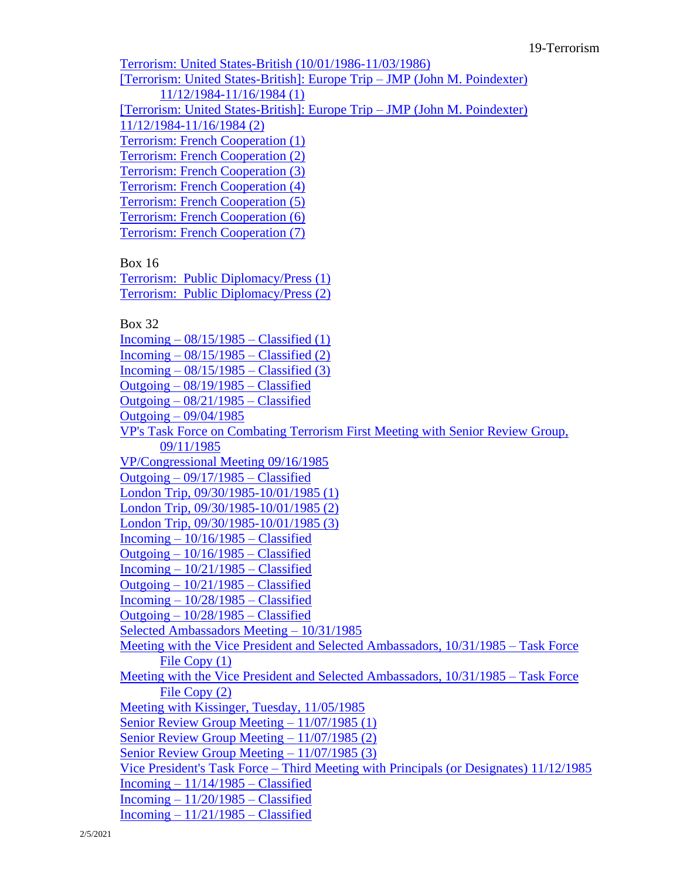[Terrorism: United States-British \(10/01/1986-11/03/1986\)](https://www.reaganlibrary.gov/public/digitallibrary/smof/nsc-politicalandmilitaryaffairs/north/box-014/40-633-12015544-014-017-2018.pdf) [\[Terrorism: United States-British\]: Europe Trip –](https://www.reaganlibrary.gov/public/digitallibrary/smof/nsc-politicalandmilitaryaffairs/north/box-014/40-633-12015544-014-018-2018.pdf) JMP (John M. Poindexter) [11/12/1984-11/16/1984 \(1\)](https://www.reaganlibrary.gov/public/digitallibrary/smof/nsc-politicalandmilitaryaffairs/north/box-014/40-633-12015544-014-018-2018.pdf) [\[Terrorism: United States-British\]: Europe Trip –](https://www.reaganlibrary.gov/public/digitallibrary/smof/nsc-politicalandmilitaryaffairs/north/box-014/40-633-12015544-014-019-2018.pdf) JMP (John M. Poindexter) [11/12/1984-11/16/1984 \(2\)](https://www.reaganlibrary.gov/public/digitallibrary/smof/nsc-politicalandmilitaryaffairs/north/box-014/40-633-12015544-014-019-2018.pdf) [Terrorism: French Cooperation \(1\)](https://www.reaganlibrary.gov/public/digitallibrary/smof/nsc-politicalandmilitaryaffairs/north/box-014/40-633-12015544-014-020-2018.pdf) [Terrorism: French Cooperation \(2\)](https://www.reaganlibrary.gov/public/digitallibrary/smof/nsc-politicalandmilitaryaffairs/north/box-014/40-633-12015544-014-021-2018.pdf) [Terrorism: French Cooperation \(3\)](https://www.reaganlibrary.gov/public/digitallibrary/smof/nsc-politicalandmilitaryaffairs/north/box-014/40-633-12015544-014-022-2018.pdf) [Terrorism: French Cooperation \(4\)](https://www.reaganlibrary.gov/public/digitallibrary/smof/nsc-politicalandmilitaryaffairs/north/box-014/40-633-12015544-014-023-2018.pdf) [Terrorism: French Cooperation \(5\)](https://www.reaganlibrary.gov/public/digitallibrary/smof/nsc-politicalandmilitaryaffairs/north/box-014/40-633-12015544-014-024-2018.pdf) [Terrorism: French Cooperation \(6\)](https://www.reaganlibrary.gov/public/digitallibrary/smof/nsc-politicalandmilitaryaffairs/north/box-014/40-633-12015544-014-025-2018.pdf) [Terrorism: French Cooperation \(7\)](https://www.reaganlibrary.gov/public/digitallibrary/smof/nsc-politicalandmilitaryaffairs/north/box-014/40-633-12015544-014-026-2018.pdf) Box 16 [Terrorism: Public Diplomacy/Press \(1\)](https://www.reaganlibrary.gov/public/digitallibrary/smof/nsc-politicalandmilitaryaffairs/north/box-016/40-633-1201554-016-001-2017.pdf) [Terrorism: Public Diplomacy/Press \(2\)](https://www.reaganlibrary.gov/public/digitallibrary/smof/nsc-politicalandmilitaryaffairs/north/box-016/40-633-1201554-016-002-2017.pdf) Box 32 Incoming  $-08/15/1985 - \text{Classified}$  (1) Incoming  $-08/15/1985$  – [Classified \(2\)](https://www.reaganlibrary.gov/public/digitallibrary/smof/nsc-politicalandmilitaryaffairs/north/box-032/40-633-1201554-032-002-2017.pdf) Incoming  $-08/15/1985$  – [Classified \(3\)](https://www.reaganlibrary.gov/public/digitallibrary/smof/nsc-politicalandmilitaryaffairs/north/box-032/40-633-1201554-032-003-2017.pdf) Outgoing – [08/19/1985 –](https://www.reaganlibrary.gov/public/digitallibrary/smof/nsc-politicalandmilitaryaffairs/north/box-032/40-633-1201554-032-004-2017.pdf) Classified Outgoing – [08/21/1985 –](https://www.reaganlibrary.gov/public/digitallibrary/smof/nsc-politicalandmilitaryaffairs/north/box-032/40-633-1201554-032-005-2017.pdf) Classified Outgoing – [09/04/1985](https://www.reaganlibrary.gov/public/digitallibrary/smof/nsc-politicalandmilitaryaffairs/north/box-032/40-633-1201554-032-006-2017.pdf) [VP's Task Force on Combating Terrorism First Meeting with Senior Review Group,](https://www.reaganlibrary.gov/public/digitallibrary/smof/nsc-politicalandmilitaryaffairs/north/box-032/40-633-1201554-032-007-2017.pdf)  [09/11/1985](https://www.reaganlibrary.gov/public/digitallibrary/smof/nsc-politicalandmilitaryaffairs/north/box-032/40-633-1201554-032-007-2017.pdf) [VP/Congressional Meeting 09/16/1985](https://www.reaganlibrary.gov/public/digitallibrary/smof/nsc-politicalandmilitaryaffairs/north/box-032/40-633-1201554-032-008-2017.pdf) Outgoing – [09/17/1985 –](https://www.reaganlibrary.gov/public/digitallibrary/smof/nsc-politicalandmilitaryaffairs/north/box-032/40-633-1201554-032-009-2017.pdf) Classified [London Trip, 09/30/1985-10/01/1985 \(1\)](https://www.reaganlibrary.gov/public/digitallibrary/smof/nsc-politicalandmilitaryaffairs/north/box-032/40-633-1201554-032-010-2017.pdf) [London Trip, 09/30/1985-10/01/1985 \(2\)](https://www.reaganlibrary.gov/public/digitallibrary/smof/nsc-politicalandmilitaryaffairs/north/box-032/40-633-1201554-032-011-2017.pdf) [London Trip, 09/30/1985-10/01/1985 \(3\)](https://www.reaganlibrary.gov/public/digitallibrary/smof/nsc-politicalandmilitaryaffairs/north/box-032/40-633-1201554-032-012-2017.pdf) Incoming  $-10/16/1985$  – Classified Outgoing  $-10/16/1985 -$ Classified  $Incoming - 10/21/1985 - Classical$ Outgoing  $-10/21/1985$  – Classified Incoming – [10/28/1985 –](https://www.reaganlibrary.gov/public/digitallibrary/smof/nsc-politicalandmilitaryaffairs/north/box-032/40-633-1201554-032-017-2017.pdf) Classified Outgoing – [10/28/1985 –](https://www.reaganlibrary.gov/public/digitallibrary/smof/nsc-politicalandmilitaryaffairs/north/box-032/40-633-1201554-032-018-2017.pdf) Classified [Selected Ambassadors Meeting –](https://www.reaganlibrary.gov/public/digitallibrary/smof/nsc-politicalandmilitaryaffairs/north/box-032/40-633-1201554-032-019-2017.pdf) 10/31/1985 [Meeting with the Vice President and Selected Ambassadors, 10/31/1985 –](https://www.reaganlibrary.gov/public/digitallibrary/smof/nsc-politicalandmilitaryaffairs/north/box-032/40-633-1201554-032-020-2017.pdf) Task Force File Copy  $(1)$ [Meeting with the Vice President and Selected Ambassadors, 10/31/1985 –](https://www.reaganlibrary.gov/public/digitallibrary/smof/nsc-politicalandmilitaryaffairs/north/box-032/40-633-1201554-032-021-2017.pdf) Task Force [File Copy \(2\)](https://www.reaganlibrary.gov/public/digitallibrary/smof/nsc-politicalandmilitaryaffairs/north/box-032/40-633-1201554-032-021-2017.pdf) [Meeting with Kissinger, Tuesday, 11/05/1985](https://www.reaganlibrary.gov/public/digitallibrary/smof/nsc-politicalandmilitaryaffairs/north/box-032/40-633-1201554-032-022-2017.pdf) [Senior Review Group Meeting –](https://www.reaganlibrary.gov/public/digitallibrary/smof/nsc-politicalandmilitaryaffairs/north/box-032/40-633-1201554-032-023-2017.pdf) 11/07/1985 (1) [Senior Review Group Meeting –](https://www.reaganlibrary.gov/public/digitallibrary/smof/nsc-politicalandmilitaryaffairs/north/box-032/40-633-1201554-032-024-2017.pdf) 11/07/1985 (2) [Senior Review Group Meeting –](https://www.reaganlibrary.gov/public/digitallibrary/smof/nsc-politicalandmilitaryaffairs/north/box-032/40-633-1201554-032-025-2017.pdf) 11/07/1985 (3) Vice President's Task Force – [Third Meeting with Principals \(or Designates\) 11/12/1985](https://www.reaganlibrary.gov/public/digitallibrary/smof/nsc-politicalandmilitaryaffairs/north/box-032/40-633-1201554-032-026-2017.pdf) Incoming  $-11/14/1985 -$ Classified Incoming  $-11/20/1985$  – Classified Incoming  $-11/21/1985$  – Classified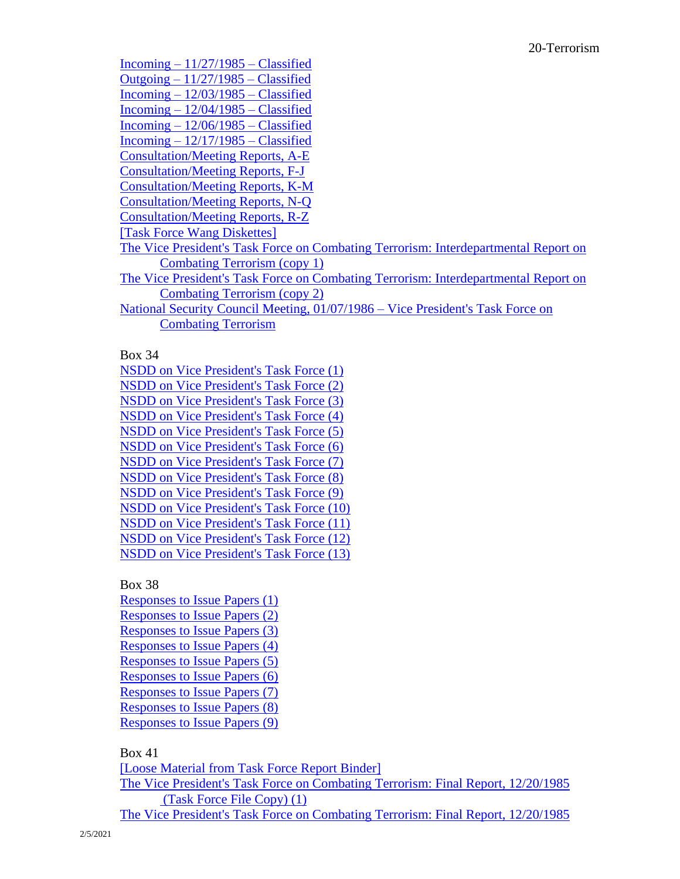Incoming  $-11/27/1985 -$ Classified Outgoing  $-11/27/1985$  – Classified Incoming – [12/03/1985 –](https://www.reaganlibrary.gov/public/digitallibrary/smof/nsc-politicalandmilitaryaffairs/north/box-032/40-633-1201554-032-032-2017.pdf) Classified Incoming  $-12/04/1985$  – Classified Incoming  $-12/06/1985$  – Classified  $Incoming - 12/17/1985 - Classical$ [Consultation/Meeting Reports, A-E](https://www.reaganlibrary.gov/public/digitallibrary/smof/nsc-politicalandmilitaryaffairs/north/box-032/40-633-1201554-032-036-2017.pdf) [Consultation/Meeting Reports, F-J](https://www.reaganlibrary.gov/public/digitallibrary/smof/nsc-politicalandmilitaryaffairs/north/box-032/40-633-1201554-032-037-2017.pdf) [Consultation/Meeting Reports, K-M](https://www.reaganlibrary.gov/public/digitallibrary/smof/nsc-politicalandmilitaryaffairs/north/box-032/40-633-1201554-032-038-2017.pdf) [Consultation/Meeting Reports, N-Q](https://www.reaganlibrary.gov/public/digitallibrary/smof/nsc-politicalandmilitaryaffairs/north/box-032/40-633-1201554-032-039-2017.pdf) [Consultation/Meeting Reports, R-Z](https://www.reaganlibrary.gov/public/digitallibrary/smof/nsc-politicalandmilitaryaffairs/north/box-032/40-633-1201554-032-040-2017.pdf) [\[Task Force Wang Diskettes\]](https://www.reaganlibrary.gov/public/digitallibrary/smof/nsc-politicalandmilitaryaffairs/north/box-032/40-633-1201554-032-041-2017.pdf) [The Vice President's Task Force on Combating Terrorism: Interdepartmental Report on](https://www.reaganlibrary.gov/public/digitallibrary/smof/nsc-politicalandmilitaryaffairs/north/box-032/40-633-1201554-032-042-2017.pdf)  [Combating Terrorism \(copy 1\)](https://www.reaganlibrary.gov/public/digitallibrary/smof/nsc-politicalandmilitaryaffairs/north/box-032/40-633-1201554-032-042-2017.pdf) [The Vice President's Task Force on Combating Terrorism: Interdepartmental Report on](https://www.reaganlibrary.gov/public/digitallibrary/smof/nsc-politicalandmilitaryaffairs/north/box-032/40-633-1201554-032-043-2017.pdf)  [Combating Terrorism \(copy 2\)](https://www.reaganlibrary.gov/public/digitallibrary/smof/nsc-politicalandmilitaryaffairs/north/box-032/40-633-1201554-032-043-2017.pdf) [National Security Council Meeting, 01/07/1986 –](https://www.reaganlibrary.gov/public/digitallibrary/smof/nsc-politicalandmilitaryaffairs/north/box-032/40-633-1201554-032-044-2017.pdf) Vice President's Task Force on [Combating Terrorism](https://www.reaganlibrary.gov/public/digitallibrary/smof/nsc-politicalandmilitaryaffairs/north/box-032/40-633-1201554-032-044-2017.pdf)

Box 34

[NSDD on Vice President's Task Force \(1\)](https://www.reaganlibrary.gov/public/digitallibrary/smof/nsc-politicalandmilitaryaffairs/north/box-034/40-633-1201554-034-001-2017.pdf) [NSDD on Vice President's Task Force \(2\)](https://www.reaganlibrary.gov/public/digitallibrary/smof/nsc-politicalandmilitaryaffairs/north/box-034/40-633-1201554-034-002-2017.pdf) [NSDD on Vice President's Task Force \(3\)](https://www.reaganlibrary.gov/public/digitallibrary/smof/nsc-politicalandmilitaryaffairs/north/box-034/40-633-1201554-034-003-2017.pdf) [NSDD on Vice President's Task Force \(4\)](https://www.reaganlibrary.gov/public/digitallibrary/smof/nsc-politicalandmilitaryaffairs/north/box-034/40-633-1201554-034-004-2017.pdf) [NSDD on Vice President's Task Force \(5\)](https://www.reaganlibrary.gov/public/digitallibrary/smof/nsc-politicalandmilitaryaffairs/north/box-034/40-633-1201554-034-005-2017.pdf) [NSDD on Vice President's Task Force \(6\)](https://www.reaganlibrary.gov/public/digitallibrary/smof/nsc-politicalandmilitaryaffairs/north/box-034/40-633-1201554-034-006-2017.pdf) [NSDD on Vice President's Task Force \(7\)](https://www.reaganlibrary.gov/public/digitallibrary/smof/nsc-politicalandmilitaryaffairs/north/box-034/40-633-1201554-034-007-2017.pdf) [NSDD on Vice President's Task Force \(8\)](https://www.reaganlibrary.gov/public/digitallibrary/smof/nsc-politicalandmilitaryaffairs/north/box-034/40-633-1201554-034-008-2017.pdf) [NSDD on Vice President's Task Force \(9\)](https://www.reaganlibrary.gov/public/digitallibrary/smof/nsc-politicalandmilitaryaffairs/north/box-034/40-633-1201554-034-009-2017.pdf) [NSDD on Vice President's Task Force \(10\)](https://www.reaganlibrary.gov/public/digitallibrary/smof/nsc-politicalandmilitaryaffairs/north/box-034/40-633-1201554-034-010-2017.pdf) [NSDD on Vice President's Task Force \(11\)](https://www.reaganlibrary.gov/public/digitallibrary/smof/nsc-politicalandmilitaryaffairs/north/box-034/40-633-1201554-034-011-2017.pdf) [NSDD on Vice President's Task Force \(12\)](https://www.reaganlibrary.gov/public/digitallibrary/smof/nsc-politicalandmilitaryaffairs/north/box-034/40-633-1201554-034-012-2017.pdf) [NSDD on Vice President's Task Force \(13\)](https://www.reaganlibrary.gov/public/digitallibrary/smof/nsc-politicalandmilitaryaffairs/north/box-034/40-633-1201554-034-013-2017.pdf)

Box 38

[Responses to Issue Papers \(1\)](https://www.reaganlibrary.gov/public/digitallibrary/smof/nsc-politicalandmilitaryaffairs/north/box-038/40-633-1201554-038-001-2017.pdf) [Responses to Issue Papers \(2\)](https://www.reaganlibrary.gov/public/digitallibrary/smof/nsc-politicalandmilitaryaffairs/north/box-038/40-633-1201554-038-002-2017.pdf) [Responses to Issue Papers \(3\)](https://www.reaganlibrary.gov/public/digitallibrary/smof/nsc-politicalandmilitaryaffairs/north/box-038/40-633-1201554-038-003-2017.pdf) [Responses to Issue Papers \(4\)](https://www.reaganlibrary.gov/public/digitallibrary/smof/nsc-politicalandmilitaryaffairs/north/box-038/40-633-1201554-038-004-2017.pdf) [Responses to Issue Papers \(5\)](https://www.reaganlibrary.gov/public/digitallibrary/smof/nsc-politicalandmilitaryaffairs/north/box-038/40-633-1201554-038-005-2017.pdf) [Responses to Issue Papers \(6\)](https://www.reaganlibrary.gov/public/digitallibrary/smof/nsc-politicalandmilitaryaffairs/north/box-038/40-633-1201554-038-006-2017.pdf) [Responses to Issue Papers \(7\)](https://www.reaganlibrary.gov/public/digitallibrary/smof/nsc-politicalandmilitaryaffairs/north/box-038/40-633-1201554-038-007-2017.pdf) [Responses to Issue Papers \(8\)](https://www.reaganlibrary.gov/public/digitallibrary/smof/nsc-politicalandmilitaryaffairs/north/box-038/40-633-1201554-038-008-2017.pdf) [Responses to Issue Papers \(9\)](https://www.reaganlibrary.gov/public/digitallibrary/smof/nsc-politicalandmilitaryaffairs/north/box-038/40-633-1201554-038-009-2017.pdf)

## Box 41

[\[Loose Material from Task Force Report Binder\]](https://www.reaganlibrary.gov/public/digitallibrary/smof/nsc-politicalandmilitaryaffairs/north/box-041/40-633-1201554-041-001-2017.pdf) [The Vice President's Task Force on Combating Terrorism: Final Report, 12/20/1985](https://www.reaganlibrary.gov/public/digitallibrary/smof/nsc-politicalandmilitaryaffairs/north/box-041/40-633-1201554-041-002-2017.pdf) [\(Task Force File Copy\) \(1\)](https://www.reaganlibrary.gov/public/digitallibrary/smof/nsc-politicalandmilitaryaffairs/north/box-041/40-633-1201554-041-002-2017.pdf) [The Vice President's Task Force on Combating Terrorism: Final Report, 12/20/1985](https://www.reaganlibrary.gov/public/digitallibrary/smof/nsc-politicalandmilitaryaffairs/north/box-041/40-633-1201554-041-003-2017.pdf)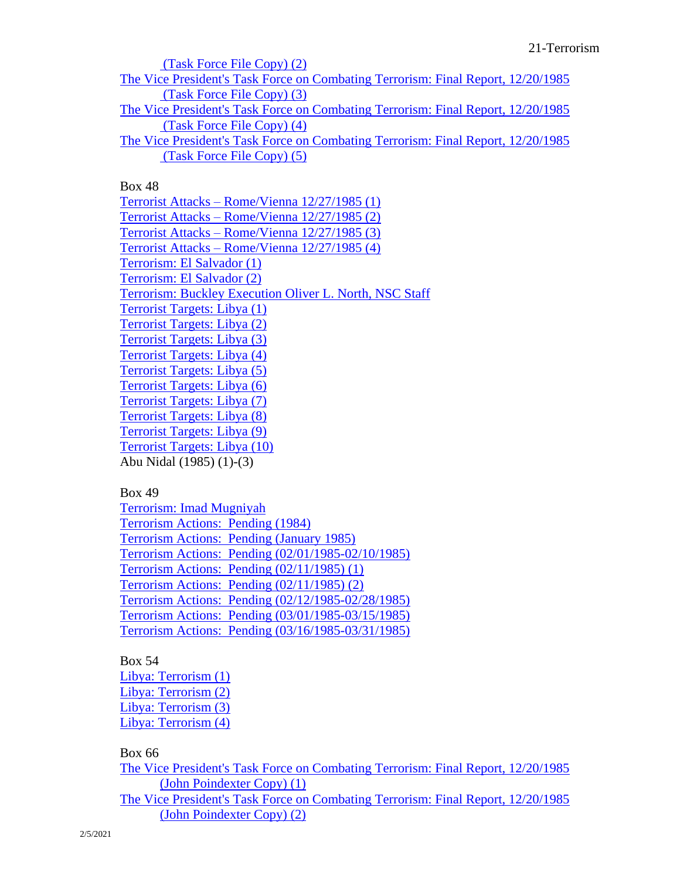[\(Task Force File Copy\) \(2\)](https://www.reaganlibrary.gov/public/digitallibrary/smof/nsc-politicalandmilitaryaffairs/north/box-041/40-633-1201554-041-003-2017.pdf) [The Vice President's Task Force on Combating Terrorism: Final Report, 12/20/1985](https://www.reaganlibrary.gov/public/digitallibrary/smof/nsc-politicalandmilitaryaffairs/north/box-041/40-633-1201554-041-004-2017.pdf) [\(Task Force File Copy\) \(3\)](https://www.reaganlibrary.gov/public/digitallibrary/smof/nsc-politicalandmilitaryaffairs/north/box-041/40-633-1201554-041-004-2017.pdf) [The Vice President's Task Force on Combating Terrorism: Final Report, 12/20/1985](https://www.reaganlibrary.gov/public/digitallibrary/smof/nsc-politicalandmilitaryaffairs/north/box-041/40-633-1201554-041-005-2017.pdf) [\(Task Force File Copy\) \(4\)](https://www.reaganlibrary.gov/public/digitallibrary/smof/nsc-politicalandmilitaryaffairs/north/box-041/40-633-1201554-041-005-2017.pdf) [The Vice President's Task Force on Combating Terrorism: Final Report, 12/20/1985](https://www.reaganlibrary.gov/public/digitallibrary/smof/nsc-politicalandmilitaryaffairs/north/box-041/40-633-1201554-041-006-2017.pdf) [\(Task Force File Copy\) \(5\)](https://www.reaganlibrary.gov/public/digitallibrary/smof/nsc-politicalandmilitaryaffairs/north/box-041/40-633-1201554-041-006-2017.pdf)

Box 48

Terrorist Attacks – [Rome/Vienna 12/27/1985 \(1\)](https://www.reaganlibrary.gov/public/digitallibrary/smof/nsc-politicalandmilitaryaffairs/north/box-048/40-633-1201554-048-001-2017.pdf) Terrorist Attacks – [Rome/Vienna 12/27/1985 \(2\)](https://www.reaganlibrary.gov/public/digitallibrary/smof/nsc-politicalandmilitaryaffairs/north/box-048/40-633-1201554-048-002-2017.pdf) Terrorist Attacks – [Rome/Vienna 12/27/1985 \(3\)](https://www.reaganlibrary.gov/public/digitallibrary/smof/nsc-politicalandmilitaryaffairs/north/box-048/40-633-1201554-048-003-2017.pdf) Terrorist Attacks – [Rome/Vienna 12/27/1985 \(4\)](https://www.reaganlibrary.gov/public/digitallibrary/smof/nsc-politicalandmilitaryaffairs/north/box-048/40-633-1201554-048-004-2017.pdf) [Terrorism: El Salvador \(1\)](https://www.reaganlibrary.gov/public/digitallibrary/smof/nsc-politicalandmilitaryaffairs/north/box-048/40-633-1201554-048-005-2017.pdf) [Terrorism: El Salvador \(2\)](https://www.reaganlibrary.gov/public/digitallibrary/smof/nsc-politicalandmilitaryaffairs/north/box-048/40-633-1201554-048-006-2017.pdf) [Terrorism: Buckley Execution Oliver L. North, NSC Staff](https://www.reaganlibrary.gov/public/digitallibrary/smof/nsc-politicalandmilitaryaffairs/north/box-048/40-633-1201554-048-007-2017.pdf) [Terrorist Targets: Libya](https://www.reaganlibrary.gov/public/digitallibrary/smof/nsc-politicalandmilitaryaffairs/north/box-048/40-633-1201554-048-008-2017.pdf) (1) [Terrorist Targets: Libya \(2\)](https://www.reaganlibrary.gov/public/digitallibrary/smof/nsc-politicalandmilitaryaffairs/north/box-048/40-633-1201554-048-009-2017.pdf) [Terrorist Targets: Libya \(3\)](https://www.reaganlibrary.gov/public/digitallibrary/smof/nsc-politicalandmilitaryaffairs/north/box-048/40-633-1201554-048-010-2017.pdf) [Terrorist Targets: Libya \(4\)](https://www.reaganlibrary.gov/public/digitallibrary/smof/nsc-politicalandmilitaryaffairs/north/box-048/40-633-1201554-048-011-2017.pdf) [Terrorist Targets: Libya \(5\)](https://www.reaganlibrary.gov/public/digitallibrary/smof/nsc-politicalandmilitaryaffairs/north/box-048/40-633-1201554-048-012-2017.pdf) [Terrorist Targets: Libya \(6\)](https://www.reaganlibrary.gov/public/digitallibrary/smof/nsc-politicalandmilitaryaffairs/north/box-048/40-633-1201554-048-013-2017.pdf) [Terrorist Targets: Libya \(7\)](https://www.reaganlibrary.gov/public/digitallibrary/smof/nsc-politicalandmilitaryaffairs/north/box-048/40-633-1201554-048-014-2017.pdf) [Terrorist Targets: Libya \(8\)](https://www.reaganlibrary.gov/public/digitallibrary/smof/nsc-politicalandmilitaryaffairs/north/box-048/40-633-1201554-048-015-2017.pdf) [Terrorist Targets: Libya \(9\)](https://www.reaganlibrary.gov/public/digitallibrary/smof/nsc-politicalandmilitaryaffairs/north/box-048/40-633-1201554-048-016-2017.pdf) [Terrorist Targets: Libya \(10\)](https://www.reaganlibrary.gov/public/digitallibrary/smof/nsc-politicalandmilitaryaffairs/north/box-048/40-633-1201554-048-017-2017.pdf) Abu Nidal (1985) (1)-(3)

Box 49

[Terrorism: Imad Mugniyah](https://www.reaganlibrary.gov/public/digitallibrary/smof/nsc-politicalandmilitaryaffairs/north/box-049/40-633-1201554-049-009-2017.pdf) [Terrorism Actions: Pending \(1984\)](https://www.reaganlibrary.gov/public/digitallibrary/smof/nsc-politicalandmilitaryaffairs/north/box-049/40-633-1201554-049-001-2017.pdf) [Terrorism Actions: Pending \(January 1985\)](https://www.reaganlibrary.gov/public/digitallibrary/smof/nsc-politicalandmilitaryaffairs/north/box-049/40-633-1201554-049-002-2017.pdf) [Terrorism Actions: Pending \(02/01/1985-02/10/1985\)](https://www.reaganlibrary.gov/public/digitallibrary/smof/nsc-politicalandmilitaryaffairs/north/box-049/40-633-1201554-049-003-2017.pdf) [Terrorism Actions: Pending \(02/11/1985\) \(1\)](https://www.reaganlibrary.gov/public/digitallibrary/smof/nsc-politicalandmilitaryaffairs/north/box-049/40-633-1201554-049-004-2017.pdf) [Terrorism Actions: Pending \(02/11/1985\) \(2\)](https://www.reaganlibrary.gov/public/digitallibrary/smof/nsc-politicalandmilitaryaffairs/north/box-049/40-633-1201554-049-005-2017.pdf) [Terrorism Actions: Pending \(02/12/1985-02/28/1985\)](https://www.reaganlibrary.gov/public/digitallibrary/smof/nsc-politicalandmilitaryaffairs/north/box-049/40-633-1201554-049-006-2017.pdf) [Terrorism Actions: Pending \(03/01/1985-03/15/1985\)](https://www.reaganlibrary.gov/public/digitallibrary/smof/nsc-politicalandmilitaryaffairs/north/box-049/40-633-1201554-049-007-2017.pdf) [Terrorism Actions: Pending \(03/16/1985-03/31/1985\)](https://www.reaganlibrary.gov/public/digitallibrary/smof/nsc-politicalandmilitaryaffairs/north/box-049/40-633-1201554-049-008-2017.pdf)

Box 54

[Libya: Terrorism \(1\)](https://www.reaganlibrary.gov/public/digitallibrary/smof/nsc-politicalandmilitaryaffairs/north/box-054/40-633-1201554-054-001-2017.pdf) [Libya: Terrorism \(2\)](https://www.reaganlibrary.gov/public/digitallibrary/smof/nsc-politicalandmilitaryaffairs/north/box-054/40-633-1201554-054-002-2017.pdf) [Libya: Terrorism \(3\)](https://www.reaganlibrary.gov/public/digitallibrary/smof/nsc-politicalandmilitaryaffairs/north/box-054/40-633-1201554-054-003-2017.pdf) [Libya: Terrorism \(4\)](https://www.reaganlibrary.gov/public/digitallibrary/smof/nsc-politicalandmilitaryaffairs/north/box-054/40-633-1201554-054-004-2017.pdf)

Box 66

[The Vice President's Task Force on Combating Terrorism: Final Report, 12/20/1985](https://www.reaganlibrary.gov/public/digitallibrary/smof/nsc-politicalandmilitaryaffairs/north/box-066/40-633-1201554-066-001-2017.pdf) [\(John Poindexter Copy\) \(1\)](https://www.reaganlibrary.gov/public/digitallibrary/smof/nsc-politicalandmilitaryaffairs/north/box-066/40-633-1201554-066-001-2017.pdf) [The Vice President's Task Force on Combating Terrorism: Final Report, 12/20/1985](https://www.reaganlibrary.gov/public/digitallibrary/smof/nsc-politicalandmilitaryaffairs/north/box-066/40-633-1201554-066-002-2017.pdf) [\(John Poindexter Copy\) \(2\)](https://www.reaganlibrary.gov/public/digitallibrary/smof/nsc-politicalandmilitaryaffairs/north/box-066/40-633-1201554-066-002-2017.pdf)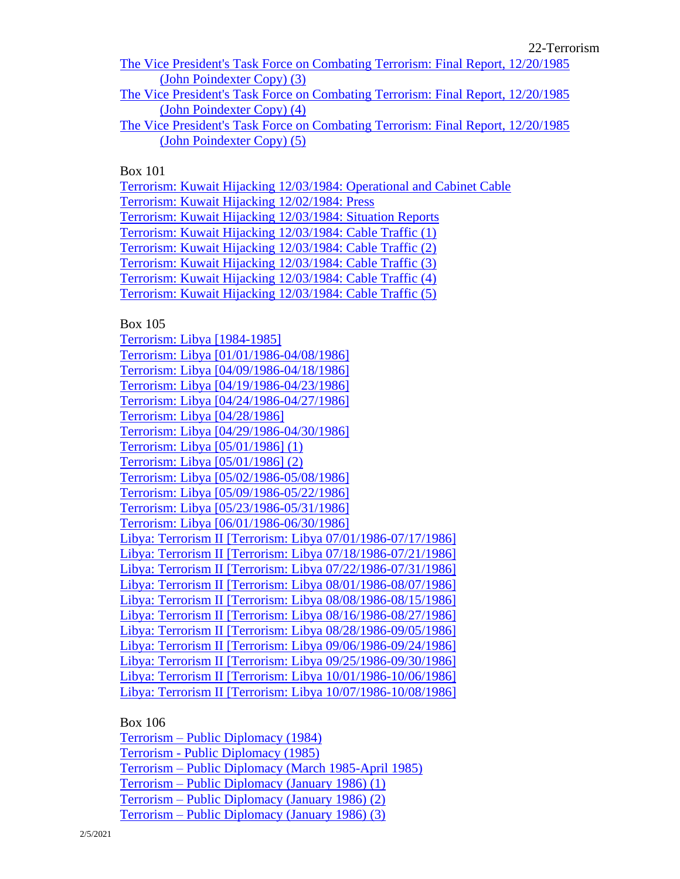22-Terrorism

[The Vice President's Task Force on Combating Terrorism: Final Report, 12/20/1985](https://www.reaganlibrary.gov/public/digitallibrary/smof/nsc-politicalandmilitaryaffairs/north/box-066/40-633-1201554-066-003-2017.pdf) [\(John Poindexter Copy\) \(3\)](https://www.reaganlibrary.gov/public/digitallibrary/smof/nsc-politicalandmilitaryaffairs/north/box-066/40-633-1201554-066-003-2017.pdf)

[The Vice President's Task Force on Combating Terrorism: Final Report, 12/20/1985](https://www.reaganlibrary.gov/public/digitallibrary/smof/nsc-politicalandmilitaryaffairs/north/box-066/40-633-1201554-066-004-2017.pdf) [\(John Poindexter Copy\) \(4\)](https://www.reaganlibrary.gov/public/digitallibrary/smof/nsc-politicalandmilitaryaffairs/north/box-066/40-633-1201554-066-004-2017.pdf)

[The Vice President's Task Force on Combating Terrorism: Final Report, 12/20/1985](https://www.reaganlibrary.gov/public/digitallibrary/smof/nsc-politicalandmilitaryaffairs/north/box-066/40-633-1201554-066-005-2017.pdf) [\(John Poindexter Copy\) \(5\)](https://www.reaganlibrary.gov/public/digitallibrary/smof/nsc-politicalandmilitaryaffairs/north/box-066/40-633-1201554-066-005-2017.pdf)

Box 101

[Terrorism: Kuwait Hijacking 12/03/1984: Operational and Cabinet Cable](https://www.reaganlibrary.gov/public/digitallibrary/smof/nsc-politicalandmilitaryaffairs/north/box-101/40-633-1201554-101-001-2019.pdf) [Terrorism: Kuwait Hijacking 12/02/1984: Press](https://www.reaganlibrary.gov/public/digitallibrary/smof/nsc-politicalandmilitaryaffairs/north/box-101/40-633-1201554-101-002-2019.pdf) [Terrorism: Kuwait Hijacking 12/03/1984: Situation Reports](https://www.reaganlibrary.gov/public/digitallibrary/smof/nsc-politicalandmilitaryaffairs/north/box-101/40-633-1201554-101-003-2019.pdf) [Terrorism: Kuwait Hijacking 12/03/1984: Cable Traffic \(1\)](https://www.reaganlibrary.gov/public/digitallibrary/smof/nsc-politicalandmilitaryaffairs/north/box-101/40-633-1201554-101-004-2019.pdf) [Terrorism: Kuwait Hijacking 12/03/1984: Cable Traffic \(2\)](https://www.reaganlibrary.gov/public/digitallibrary/smof/nsc-politicalandmilitaryaffairs/north/box-101/40-633-1201554-101-005-2019.pdf) [Terrorism: Kuwait Hijacking 12/03/1984: Cable Traffic \(3\)](https://www.reaganlibrary.gov/public/digitallibrary/smof/nsc-politicalandmilitaryaffairs/north/box-101/40-633-1201554-101-006-2019.pdf) [Terrorism: Kuwait Hijacking 12/03/1984: Cable Traffic \(4\)](https://www.reaganlibrary.gov/public/digitallibrary/smof/nsc-politicalandmilitaryaffairs/north/box-101/40-633-1201554-101-007-2019.pdf) [Terrorism: Kuwait Hijacking 12/03/1984: Cable Traffic \(5\)](https://www.reaganlibrary.gov/public/digitallibrary/smof/nsc-politicalandmilitaryaffairs/north/box-101/40-633-1201554-101-008-2019.pdf)

Box 105

[Terrorism: Libya \[1984-1985\]](https://www.reaganlibrary.gov/public/digitallibrary/smof/nsc-politicalandmilitaryaffairs/north/box-105/40-633-1201554-105-001-2017.pdf) [Terrorism: Libya \[01/01/1986-04/08/1986\]](https://www.reaganlibrary.gov/public/digitallibrary/smof/nsc-politicalandmilitaryaffairs/north/box-105/40-633-1201554-105-002-2017.pdf) [Terrorism: Libya \[04/09/1986-04/18/1986\]](https://www.reaganlibrary.gov/public/digitallibrary/smof/nsc-politicalandmilitaryaffairs/north/box-105/40-633-1201554-105-003-2017.pdf) [Terrorism: Libya \[04/19/1986-04/23/1986\]](https://www.reaganlibrary.gov/public/digitallibrary/smof/nsc-politicalandmilitaryaffairs/north/box-105/40-633-1201554-105-004-2017.pdf) [Terrorism: Libya \[04/24/1986-04/27/1986\]](https://www.reaganlibrary.gov/public/digitallibrary/smof/nsc-politicalandmilitaryaffairs/north/box-105/40-633-1201554-105-005-2017.pdf) [Terrorism: Libya \[04/28/1986\]](https://www.reaganlibrary.gov/public/digitallibrary/smof/nsc-politicalandmilitaryaffairs/north/box-105/40-633-1201554-105-006-2017.pdf) [Terrorism: Libya \[04/29/1986-04/30/1986\]](https://www.reaganlibrary.gov/public/digitallibrary/smof/nsc-politicalandmilitaryaffairs/north/box-105/40-633-1201554-105-007-2017.pdf) [Terrorism: Libya \[05/01/1986\] \(1\)](https://www.reaganlibrary.gov/public/digitallibrary/smof/nsc-politicalandmilitaryaffairs/north/box-105/40-633-1201554-105-008-2017.pdf) [Terrorism: Libya \[05/01/1986\] \(2\)](https://www.reaganlibrary.gov/public/digitallibrary/smof/nsc-politicalandmilitaryaffairs/north/box-105/40-633-1201554-105-009-2017.pdf) [Terrorism: Libya \[05/02/1986-05/08/1986\]](https://www.reaganlibrary.gov/public/digitallibrary/smof/nsc-politicalandmilitaryaffairs/north/box-105/40-633-1201554-105-010-2017.pdf) [Terrorism: Libya \[05/09/1986-05/22/1986\]](https://www.reaganlibrary.gov/public/digitallibrary/smof/nsc-politicalandmilitaryaffairs/north/box-105/40-633-1201554-105-011-2017.pdf) [Terrorism: Libya \[05/23/1986-05/31/1986\]](https://www.reaganlibrary.gov/public/digitallibrary/smof/nsc-politicalandmilitaryaffairs/north/box-105/40-633-1201554-105-012-2017.pdf) [Terrorism: Libya \[06/01/1986-06/30/1986\]](https://www.reaganlibrary.gov/public/digitallibrary/smof/nsc-politicalandmilitaryaffairs/north/box-105/40-633-1201554-105-013-2017.pdf) [Libya: Terrorism II \[Terrorism: Libya 07/01/1986-07/17/1986\]](https://www.reaganlibrary.gov/public/digitallibrary/smof/nsc-politicalandmilitaryaffairs/north/box-105/40-633-1201554-105-014-2017.pdf) [Libya: Terrorism II \[Terrorism: Libya 07/18/1986-07/21/1986\]](https://www.reaganlibrary.gov/public/digitallibrary/smof/nsc-politicalandmilitaryaffairs/north/box-105/40-633-1201554-105-015-2017.pdf) [Libya: Terrorism II \[Terrorism: Libya 07/22/1986-07/31/1986\]](https://www.reaganlibrary.gov/public/digitallibrary/smof/nsc-politicalandmilitaryaffairs/north/box-105/40-633-1201554-105-016-2017.pdf) [Libya: Terrorism II \[Terrorism: Libya 08/01/1986-08/07/1986\]](https://www.reaganlibrary.gov/public/digitallibrary/smof/nsc-politicalandmilitaryaffairs/north/box-105/40-633-1201554-105-017-2017.pdf) [Libya: Terrorism II \[Terrorism: Libya 08/08/1986-08/15/1986\]](https://www.reaganlibrary.gov/public/digitallibrary/smof/nsc-politicalandmilitaryaffairs/north/box-105/40-633-1201554-105-018-2017.pdf) [Libya: Terrorism II \[Terrorism: Libya 08/16/1986-08/27/1986\]](https://www.reaganlibrary.gov/public/digitallibrary/smof/nsc-politicalandmilitaryaffairs/north/box-105/40-633-1201554-105-019-2017.pdf) [Libya: Terrorism II \[Terrorism: Libya 08/28/1986-09/05/1986\]](https://www.reaganlibrary.gov/public/digitallibrary/smof/nsc-politicalandmilitaryaffairs/north/box-105/40-633-1201554-105-020-2017.pdf) [Libya: Terrorism II \[Terrorism: Libya 09/06/1986-09/24/1986\]](https://www.reaganlibrary.gov/public/digitallibrary/smof/nsc-politicalandmilitaryaffairs/north/box-105/40-633-1201554-105-021-2017.pdf) [Libya: Terrorism II \[Terrorism: Libya 09/25/1986-09/30/1986\]](https://www.reaganlibrary.gov/public/digitallibrary/smof/nsc-politicalandmilitaryaffairs/north/box-105/40-633-1201554-105-022-2017.pdf) [Libya: Terrorism II \[Terrorism: Libya 10/01/1986-10/06/1986\]](https://www.reaganlibrary.gov/public/digitallibrary/smof/nsc-politicalandmilitaryaffairs/north/box-105/40-633-1201554-105-023-2017.pdf) [Libya: Terrorism II \[Terrorism: Libya 10/07/1986-10/08/1986\]](https://www.reaganlibrary.gov/public/digitallibrary/smof/nsc-politicalandmilitaryaffairs/north/box-105/40-633-1201554-105-024-2017.pdf)

Box 106

Terrorism – [Public Diplomacy \(1984\)](https://www.reaganlibrary.gov/public/digitallibrary/smof/nsc-politicalandmilitaryaffairs/north/box-106/40-633-1201554-106-001-2019.pdf) Terrorism - [Public Diplomacy \(1985\)](https://www.reaganlibrary.gov/public/digitallibrary/smof/nsc-politicalandmilitaryaffairs/north/box-106/40-633-1201554-106-002-2019.pdf) Terrorism – [Public Diplomacy \(March 1985-April 1985\)](https://www.reaganlibrary.gov/public/digitallibrary/smof/nsc-politicalandmilitaryaffairs/north/box-106/40-633-1201554-106-003-2019.pdf) Terrorism – [Public Diplomacy \(January 1986\) \(1\)](https://www.reaganlibrary.gov/public/digitallibrary/smof/nsc-politicalandmilitaryaffairs/north/box-106/40-633-1201554-106-004-2019.pdf) Terrorism – [Public Diplomacy \(January 1986\) \(2\)](https://www.reaganlibrary.gov/public/digitallibrary/smof/nsc-politicalandmilitaryaffairs/north/box-106/40-633-1201554-106-005-2019.pdf) Terrorism – [Public Diplomacy \(January 1986\) \(3\)](https://www.reaganlibrary.gov/public/digitallibrary/smof/nsc-politicalandmilitaryaffairs/north/box-106/40-633-1201554-106-006-2019.pdf)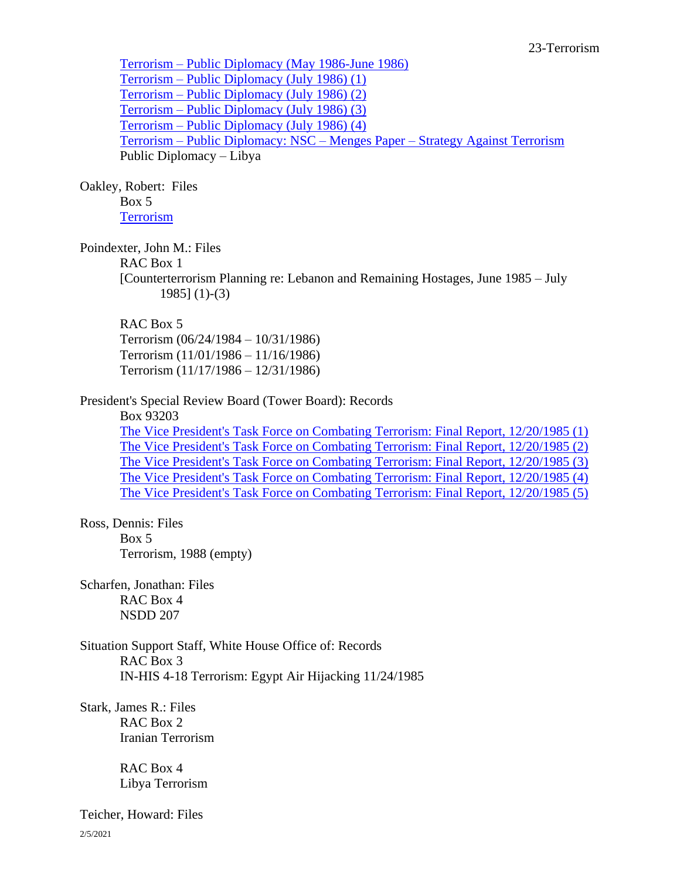Terrorism – [Public Diplomacy \(May 1986-June 1986\)](https://www.reaganlibrary.gov/public/digitallibrary/smof/nsc-politicalandmilitaryaffairs/north/box-106/40-633-1201554-106-007-2019.pdf) Terrorism – [Public Diplomacy \(July 1986\) \(1\)](https://www.reaganlibrary.gov/public/digitallibrary/smof/nsc-politicalandmilitaryaffairs/north/box-106/40-633-1201554-106-008-2019.pdf) Terrorism – [Public Diplomacy \(July 1986\) \(2\)](https://www.reaganlibrary.gov/public/digitallibrary/smof/nsc-politicalandmilitaryaffairs/north/box-106/40-633-1201554-106-009-2019.pdf) Terrorism – [Public Diplomacy \(July 1986\) \(3\)](https://www.reaganlibrary.gov/public/digitallibrary/smof/nsc-politicalandmilitaryaffairs/north/box-106/40-633-1201554-106-010-2019.pdf) Terrorism – [Public Diplomacy \(July 1986\) \(4\)](https://www.reaganlibrary.gov/public/digitallibrary/smof/nsc-politicalandmilitaryaffairs/north/box-106/40-633-1201554-106-011-2019.pdf) Terrorism – Public Diplomacy: NSC – Menges Paper – [Strategy Against Terrorism](https://www.reaganlibrary.gov/public/digitallibrary/smof/nsc-politicalandmilitaryaffairs/north/box-106/40-633-1201554-106-012-2019.pdf) Public Diplomacy – Libya

Oakley, Robert: Files Box 5 **[Terrorism](https://www.reaganlibrary.gov/public/digitallibrary/smof/nsc-neareastandsouthasianaffairs/oakley/box-005/40-406-56918738-005-001-2018.pdf)** 

Poindexter, John M.: Files

RAC Box 1

[Counterterrorism Planning re: Lebanon and Remaining Hostages, June 1985 – July 1985] (1)-(3)

#### RAC Box 5

Terrorism (06/24/1984 – 10/31/1986) Terrorism (11/01/1986 – 11/16/1986) Terrorism (11/17/1986 – 12/31/1986)

#### President's Special Review Board (Tower Board): Records

Box 93203

[The Vice President's Task Force on Combating Terrorism: Final Report, 12/20/1985 \(1\)](https://www.reaganlibrary.gov/public/digitallibrary/smof/presidents-special-review-board/box-93203/VPtaskforceoncombattingterrorism1.pdf) [The Vice President's Task Force on Combating Terrorism: Final Report, 12/20/1985 \(2\)](https://www.reaganlibrary.gov/public/digitallibrary/smof/presidents-special-review-board/box-93203/VPtaskforceoncombattingterrorism2.pdf) [The Vice President's Task Force on Combating Terrorism: Final Report, 12/20/1985 \(3\)](https://www.reaganlibrary.gov/public/digitallibrary/smof/presidents-special-review-board/box-93203/VPtaskforceoncombattingterrorism3.pdf) [The Vice President's Task Force on Combating Terrorism: Final Report, 12/20/1985 \(4\)](https://www.reaganlibrary.gov/public/digitallibrary/smof/presidents-special-review-board/box-93203/VPtaskforceoncombattingterrorism4.pdf) [The Vice President's Task Force on Combating Terrorism: Final Report, 12/20/1985 \(5\)](https://www.reaganlibrary.gov/public/digitallibrary/smof/presidents-special-review-board/box-93203/VPtaskforceoncombattingterrorism5.pdf)

# Ross, Dennis: Files

Box 5 Terrorism, 1988 (empty)

Scharfen, Jonathan: Files RAC Box 4 NSDD 207

Situation Support Staff, White House Office of: Records RAC Box 3 IN-HIS 4-18 Terrorism: Egypt Air Hijacking 11/24/1985

Stark, James R.: Files RAC Box 2 Iranian Terrorism

> RAC Box 4 Libya Terrorism

2/5/2021 Teicher, Howard: Files